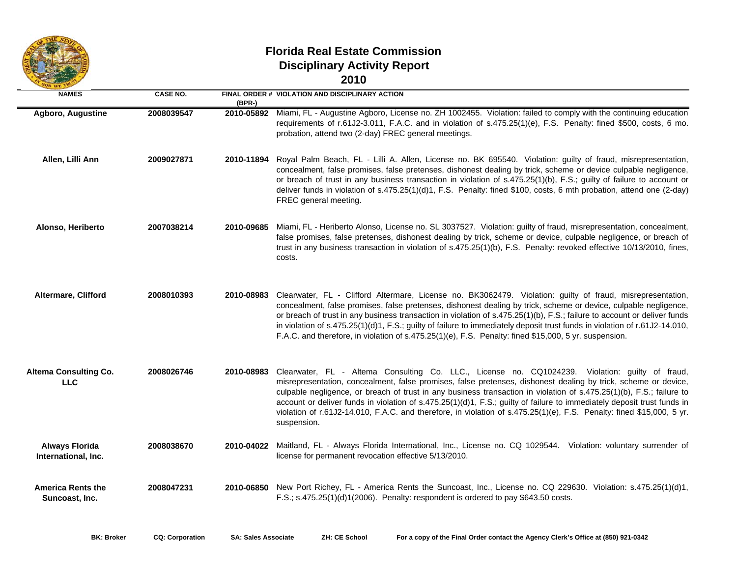

## **Florida Real Estate Commission Disciplinary Activity Report 2010**

| ×<br>۰. | w |
|---------|---|
|         |   |

| <b>NAMES</b>                                 | <b>CASE NO.</b> | $(BPR-)$   | FINAL ORDER # VIOLATION AND DISCIPLINARY ACTION                                                                                                                                                                                                                                                                                                                                                                                                                                                                                                                                                              |
|----------------------------------------------|-----------------|------------|--------------------------------------------------------------------------------------------------------------------------------------------------------------------------------------------------------------------------------------------------------------------------------------------------------------------------------------------------------------------------------------------------------------------------------------------------------------------------------------------------------------------------------------------------------------------------------------------------------------|
| Agboro, Augustine                            | 2008039547      | 2010-05892 | Miami, FL - Augustine Agboro, License no. ZH 1002455. Violation: failed to comply with the continuing education<br>requirements of r.61J2-3.011, F.A.C. and in violation of s.475.25(1)(e), F.S. Penalty: fined \$500, costs, 6 mo.<br>probation, attend two (2-day) FREC general meetings.                                                                                                                                                                                                                                                                                                                  |
| Allen, Lilli Ann                             | 2009027871      | 2010-11894 | Royal Palm Beach, FL - Lilli A. Allen, License no. BK 695540. Violation: guilty of fraud, misrepresentation,<br>concealment, false promises, false pretenses, dishonest dealing by trick, scheme or device culpable negligence,<br>or breach of trust in any business transaction in violation of s.475.25(1)(b), F.S.; guilty of failure to account or<br>deliver funds in violation of s.475.25(1)(d)1, F.S. Penalty: fined \$100, costs, 6 mth probation, attend one (2-day)<br>FREC general meeting.                                                                                                     |
| Alonso, Heriberto                            | 2007038214      | 2010-09685 | Miami, FL - Heriberto Alonso, License no. SL 3037527. Violation: guilty of fraud, misrepresentation, concealment,<br>false promises, false pretenses, dishonest dealing by trick, scheme or device, culpable negligence, or breach of<br>trust in any business transaction in violation of s.475.25(1)(b), F.S. Penalty: revoked effective 10/13/2010, fines,<br>costs.                                                                                                                                                                                                                                      |
| Altermare, Clifford                          | 2008010393      | 2010-08983 | Clearwater, FL - Clifford Altermare, License no. BK3062479. Violation: guilty of fraud, misrepresentation,<br>concealment, false promises, false pretenses, dishonest dealing by trick, scheme or device, culpable negligence,<br>or breach of trust in any business transaction in violation of s.475.25(1)(b), F.S.; failure to account or deliver funds<br>in violation of s.475.25(1)(d)1, F.S.; guilty of failure to immediately deposit trust funds in violation of r.61J2-14.010,<br>F.A.C. and therefore, in violation of s.475.25(1)(e), F.S. Penalty: fined \$15,000, 5 yr. suspension.            |
| <b>Altema Consulting Co.</b><br><b>LLC</b>   | 2008026746      | 2010-08983 | Clearwater, FL - Altema Consulting Co. LLC., License no. CQ1024239. Violation: guilty of fraud,<br>misrepresentation, concealment, false promises, false pretenses, dishonest dealing by trick, scheme or device,<br>culpable negligence, or breach of trust in any business transaction in violation of s.475.25(1)(b), F.S.; failure to<br>account or deliver funds in violation of s.475.25(1)(d)1, F.S.; guilty of failure to immediately deposit trust funds in<br>violation of r.61J2-14.010, F.A.C. and therefore, in violation of s.475.25(1)(e), F.S. Penalty: fined \$15,000, 5 yr.<br>suspension. |
| <b>Always Florida</b><br>International, Inc. | 2008038670      | 2010-04022 | Maitland, FL - Always Florida International, Inc., License no. CQ 1029544. Violation: voluntary surrender of<br>license for permanent revocation effective 5/13/2010.                                                                                                                                                                                                                                                                                                                                                                                                                                        |
| <b>America Rents the</b><br>Suncoast, Inc.   | 2008047231      |            | 2010-06850 New Port Richey, FL - America Rents the Suncoast, Inc., License no. CQ 229630. Violation: s.475.25(1)(d)1,<br>F.S.; $s.475.25(1)(d)1(2006)$ . Penalty: respondent is ordered to pay \$643.50 costs.                                                                                                                                                                                                                                                                                                                                                                                               |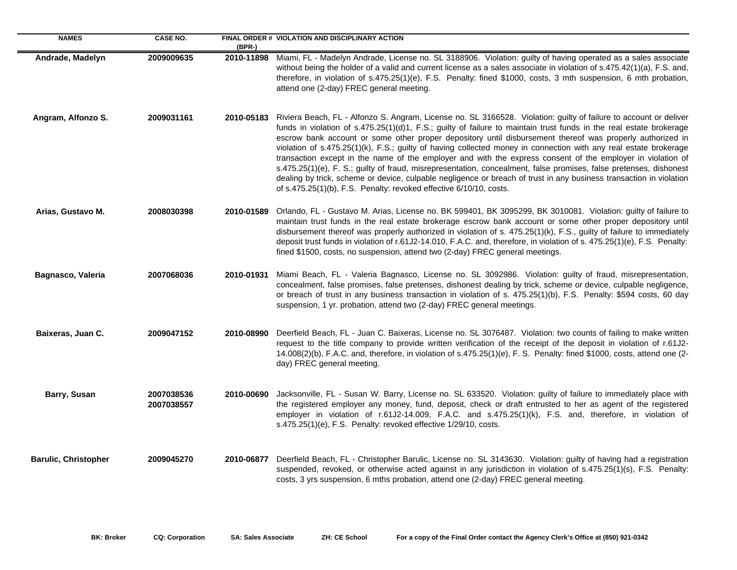| <b>NAMES</b>                | <b>CASE NO.</b>          | $(BPR-)$   | FINAL ORDER # VIOLATION AND DISCIPLINARY ACTION                                                                                                                                                                                                                                                                                                                                                                                                                                                                                                                                                                                                                                                                                                                                                                                                                                                             |
|-----------------------------|--------------------------|------------|-------------------------------------------------------------------------------------------------------------------------------------------------------------------------------------------------------------------------------------------------------------------------------------------------------------------------------------------------------------------------------------------------------------------------------------------------------------------------------------------------------------------------------------------------------------------------------------------------------------------------------------------------------------------------------------------------------------------------------------------------------------------------------------------------------------------------------------------------------------------------------------------------------------|
| Andrade, Madelyn            | 2009009635               |            | 2010-11898 Miami, FL - Madelyn Andrade, License no. SL 3188906. Violation: guilty of having operated as a sales associate<br>without being the holder of a valid and current license as a sales associate in violation of s.475.42(1)(a), F.S. and,<br>therefore, in violation of s.475.25(1)(e), F.S. Penalty: fined \$1000, costs, 3 mth suspension, 6 mth probation,<br>attend one (2-day) FREC general meeting.                                                                                                                                                                                                                                                                                                                                                                                                                                                                                         |
| Angram, Alfonzo S.          | 2009031161               | 2010-05183 | Riviera Beach, FL - Alfonzo S. Angram, License no. SL 3166528. Violation: guilty of failure to account or deliver<br>funds in violation of s.475.25(1)(d)1, F.S.; guilty of failure to maintain trust funds in the real estate brokerage<br>escrow bank account or some other proper depository until disbursement thereof was properly authorized in<br>violation of s.475.25(1)(k), F.S.; guilty of having collected money in connection with any real estate brokerage<br>transaction except in the name of the employer and with the express consent of the employer in violation of<br>s.475.25(1)(e), F. S.; guilty of fraud, misrepresentation, concealment, false promises, false pretenses, dishonest<br>dealing by trick, scheme or device, culpable negligence or breach of trust in any business transaction in violation<br>of s.475.25(1)(b), F.S. Penalty: revoked effective 6/10/10, costs. |
| Arias, Gustavo M.           | 2008030398               | 2010-01589 | Orlando, FL - Gustavo M. Arias, License no. BK 599401, BK 3095299, BK 3010081. Violation: guilty of failure to<br>maintain trust funds in the real estate brokerage escrow bank account or some other proper depository until<br>disbursement thereof was properly authorized in violation of s. 475.25(1)(k), F.S., guilty of failure to immediately<br>deposit trust funds in violation of r.61J2-14.010, F.A.C. and, therefore, in violation of s. 475.25(1)(e), F.S. Penalty:<br>fined \$1500, costs, no suspension, attend two (2-day) FREC general meetings.                                                                                                                                                                                                                                                                                                                                          |
| Bagnasco, Valeria           | 2007068036               | 2010-01931 | Miami Beach, FL - Valeria Bagnasco, License no. SL 3092986. Violation: guilty of fraud, misrepresentation,<br>concealment, false promises, false pretenses, dishonest dealing by trick, scheme or device, culpable negligence,<br>or breach of trust in any business transaction in violation of s. 475.25(1)(b), F.S. Penalty: \$594 costs, 60 day<br>suspension, 1 yr. probation, attend two (2-day) FREC general meetings.                                                                                                                                                                                                                                                                                                                                                                                                                                                                               |
| Baixeras, Juan C.           | 2009047152               | 2010-08990 | Deerfield Beach, FL - Juan C. Baixeras, License no. SL 3076487. Violation: two counts of failing to make written<br>request to the title company to provide written verification of the receipt of the deposit in violation of r.61J2-<br>14.008(2)(b), F.A.C. and, therefore, in violation of s.475.25(1)(e), F. S. Penalty: fined \$1000, costs, attend one (2-<br>day) FREC general meeting.                                                                                                                                                                                                                                                                                                                                                                                                                                                                                                             |
| Barry, Susan                | 2007038536<br>2007038557 | 2010-00690 | Jacksonville, FL - Susan W. Barry, License no. SL 633520. Violation: guilty of failure to immediately place with<br>the registered employer any money, fund, deposit, check or draft entrusted to her as agent of the registered<br>employer in violation of r.61J2-14.009, F.A.C. and s.475.25(1)(k), F.S. and, therefore, in violation of<br>s.475.25(1)(e), F.S. Penalty: revoked effective 1/29/10, costs.                                                                                                                                                                                                                                                                                                                                                                                                                                                                                              |
| <b>Barulic, Christopher</b> | 2009045270               | 2010-06877 | Deerfield Beach, FL - Christopher Barulic, License no. SL 3143630. Violation: guilty of having had a registration<br>suspended, revoked, or otherwise acted against in any jurisdiction in violation of s.475.25(1)(s), F.S. Penalty:<br>costs, 3 yrs suspension, 6 mths probation, attend one (2-day) FREC general meeting.                                                                                                                                                                                                                                                                                                                                                                                                                                                                                                                                                                                |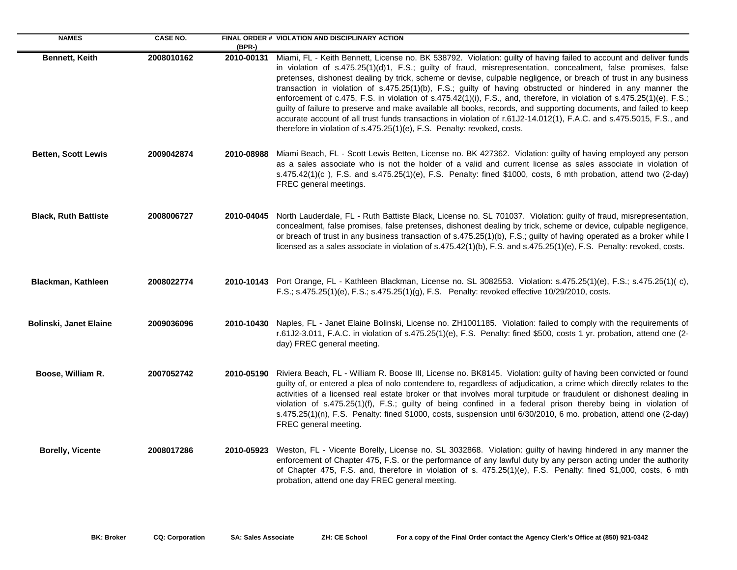| <b>NAMES</b>                  | <b>CASE NO.</b> | (BPR-)     | FINAL ORDER # VIOLATION AND DISCIPLINARY ACTION                                                                                                                                                                                                                                                                                                                                                                                                                                                                                                                                                                                                                                                                                                                                                                                                                                                                        |
|-------------------------------|-----------------|------------|------------------------------------------------------------------------------------------------------------------------------------------------------------------------------------------------------------------------------------------------------------------------------------------------------------------------------------------------------------------------------------------------------------------------------------------------------------------------------------------------------------------------------------------------------------------------------------------------------------------------------------------------------------------------------------------------------------------------------------------------------------------------------------------------------------------------------------------------------------------------------------------------------------------------|
| Bennett, Keith                | 2008010162      | 2010-00131 | Miami, FL - Keith Bennett, License no. BK 538792. Violation: guilty of having failed to account and deliver funds<br>in violation of s.475.25(1)(d)1, F.S.; guilty of fraud, misrepresentation, concealment, false promises, false<br>pretenses, dishonest dealing by trick, scheme or devise, culpable negligence, or breach of trust in any business<br>transaction in violation of s.475.25(1)(b), F.S.; guilty of having obstructed or hindered in any manner the<br>enforcement of c.475, F.S. in violation of s.475.42(1)(i), F.S., and, therefore, in violation of s.475.25(1)(e), F.S.;<br>guilty of failure to preserve and make available all books, records, and supporting documents, and failed to keep<br>accurate account of all trust funds transactions in violation of r.61J2-14.012(1), F.A.C. and s.475.5015, F.S., and<br>therefore in violation of s.475.25(1)(e), F.S. Penalty: revoked, costs. |
| <b>Betten, Scott Lewis</b>    | 2009042874      |            | 2010-08988 Miami Beach, FL - Scott Lewis Betten, License no. BK 427362. Violation: guilty of having employed any person<br>as a sales associate who is not the holder of a valid and current license as sales associate in violation of<br>s.475.42(1)(c), F.S. and s.475.25(1)(e), F.S. Penalty: fined \$1000, costs, 6 mth probation, attend two (2-day)<br>FREC general meetings.                                                                                                                                                                                                                                                                                                                                                                                                                                                                                                                                   |
| <b>Black, Ruth Battiste</b>   | 2008006727      |            | 2010-04045 North Lauderdale, FL - Ruth Battiste Black, License no. SL 701037. Violation: guilty of fraud, misrepresentation,<br>concealment, false promises, false pretenses, dishonest dealing by trick, scheme or device, culpable negligence,<br>or breach of trust in any business transaction of s.475.25(1)(b), F.S.; guilty of having operated as a broker while I<br>licensed as a sales associate in violation of s.475.42(1)(b), F.S. and s.475.25(1)(e), F.S. Penalty: revoked, costs.                                                                                                                                                                                                                                                                                                                                                                                                                      |
| Blackman, Kathleen            | 2008022774      |            | 2010-10143 Port Orange, FL - Kathleen Blackman, License no. SL 3082553. Violation: s.475.25(1)(e), F.S.; s.475.25(1)(c),<br>F.S.; s.475.25(1)(e), F.S.; s.475.25(1)(g), F.S. Penalty: revoked effective 10/29/2010, costs.                                                                                                                                                                                                                                                                                                                                                                                                                                                                                                                                                                                                                                                                                             |
| <b>Bolinski, Janet Elaine</b> | 2009036096      |            | 2010-10430 Naples, FL - Janet Elaine Bolinski, License no. ZH1001185. Violation: failed to comply with the requirements of<br>r.61J2-3.011, F.A.C. in violation of s.475.25(1)(e), F.S. Penalty: fined \$500, costs 1 yr. probation, attend one (2-<br>day) FREC general meeting.                                                                                                                                                                                                                                                                                                                                                                                                                                                                                                                                                                                                                                      |
| Boose, William R.             | 2007052742      |            | 2010-05190 Riviera Beach, FL - William R. Boose III, License no. BK8145. Violation: guilty of having been convicted or found<br>guilty of, or entered a plea of nolo contendere to, regardless of adjudication, a crime which directly relates to the<br>activities of a licensed real estate broker or that involves moral turpitude or fraudulent or dishonest dealing in<br>violation of s.475.25(1)(f), F.S.; guilty of being confined in a federal prison thereby being in violation of<br>s.475.25(1)(n), F.S. Penalty: fined \$1000, costs, suspension until 6/30/2010, 6 mo. probation, attend one (2-day)<br>FREC general meeting.                                                                                                                                                                                                                                                                            |
| <b>Borelly, Vicente</b>       | 2008017286      | 2010-05923 | Weston, FL - Vicente Borelly, License no. SL 3032868. Violation: guilty of having hindered in any manner the<br>enforcement of Chapter 475, F.S. or the performance of any lawful duty by any person acting under the authority<br>of Chapter 475, F.S. and, therefore in violation of s. 475.25(1)(e), F.S. Penalty: fined \$1,000, costs, 6 mth<br>probation, attend one day FREC general meeting.                                                                                                                                                                                                                                                                                                                                                                                                                                                                                                                   |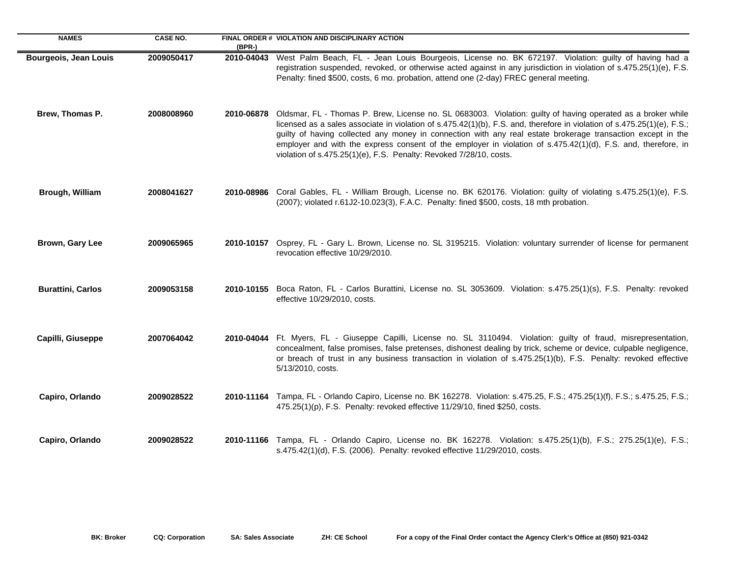| <b>NAMES</b>                 | <b>CASE NO.</b> | $(BPR-)$   | FINAL ORDER # VIOLATION AND DISCIPLINARY ACTION                                                                                                                                                                                                                                                                                                                                                                                                                                                                                               |
|------------------------------|-----------------|------------|-----------------------------------------------------------------------------------------------------------------------------------------------------------------------------------------------------------------------------------------------------------------------------------------------------------------------------------------------------------------------------------------------------------------------------------------------------------------------------------------------------------------------------------------------|
| <b>Bourgeois, Jean Louis</b> | 2009050417      | 2010-04043 | West Palm Beach, FL - Jean Louis Bourgeois, License no. BK 672197. Violation: guilty of having had a<br>registration suspended, revoked, or otherwise acted against in any jurisdiction in violation of s.475.25(1)(e), F.S.<br>Penalty: fined \$500, costs, 6 mo. probation, attend one (2-day) FREC general meeting.                                                                                                                                                                                                                        |
| Brew, Thomas P.              | 2008008960      | 2010-06878 | Oldsmar, FL - Thomas P. Brew, License no. SL 0683003. Violation: guilty of having operated as a broker while<br>licensed as a sales associate in violation of s.475.42(1)(b), F.S. and, therefore in violation of s.475.25(1)(e), F.S.;<br>guilty of having collected any money in connection with any real estate brokerage transaction except in the<br>employer and with the express consent of the employer in violation of s.475.42(1)(d), F.S. and, therefore, in<br>violation of s.475.25(1)(e), F.S. Penalty: Revoked 7/28/10, costs. |
| Brough, William              | 2008041627      |            | 2010-08986 Coral Gables, FL - William Brough, License no. BK 620176. Violation: guilty of violating s.475.25(1)(e), F.S.<br>(2007); violated r.61J2-10.023(3), F.A.C. Penalty: fined \$500, costs, 18 mth probation.                                                                                                                                                                                                                                                                                                                          |
| Brown, Gary Lee              | 2009065965      |            | 2010-10157 Osprey, FL - Gary L. Brown, License no. SL 3195215. Violation: voluntary surrender of license for permanent<br>revocation effective 10/29/2010.                                                                                                                                                                                                                                                                                                                                                                                    |
| <b>Burattini, Carlos</b>     | 2009053158      |            | 2010-10155 Boca Raton, FL - Carlos Burattini, License no. SL 3053609. Violation: s.475.25(1)(s), F.S. Penalty: revoked<br>effective 10/29/2010, costs.                                                                                                                                                                                                                                                                                                                                                                                        |
| Capilli, Giuseppe            | 2007064042      |            | 2010-04044 Ft. Myers, FL - Giuseppe Capilli, License no. SL 3110494. Violation: guilty of fraud, misrepresentation,<br>concealment, false promises, false pretenses, dishonest dealing by trick, scheme or device, culpable negligence,<br>or breach of trust in any business transaction in violation of s.475.25(1)(b), F.S. Penalty: revoked effective<br>5/13/2010, costs.                                                                                                                                                                |
| Capiro, Orlando              | 2009028522      |            | 2010-11164 Tampa, FL - Orlando Capiro, License no. BK 162278. Violation: s.475.25, F.S.; 475.25(1)(f), F.S.; s.475.25, F.S.;<br>475.25(1)(p), F.S. Penalty: revoked effective 11/29/10, fined \$250, costs.                                                                                                                                                                                                                                                                                                                                   |
| Capiro, Orlando              | 2009028522      |            | 2010-11166 Tampa, FL - Orlando Capiro, License no. BK 162278. Violation: s.475.25(1)(b), F.S.; 275.25(1)(e), F.S.;<br>s.475.42(1)(d), F.S. (2006). Penalty: revoked effective 11/29/2010, costs.                                                                                                                                                                                                                                                                                                                                              |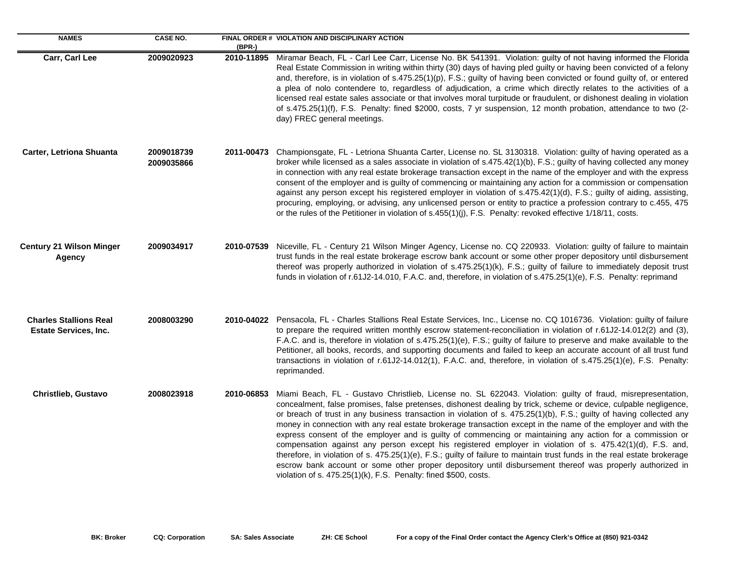| <b>NAMES</b>                                                  | <b>CASE NO.</b>          | $(BPR-)$   | FINAL ORDER # VIOLATION AND DISCIPLINARY ACTION                                                                                                                                                                                                                                                                                                                                                                                                                                                                                                                                                                                                                                                                                                                                                                                                                                                                                                                                                                 |
|---------------------------------------------------------------|--------------------------|------------|-----------------------------------------------------------------------------------------------------------------------------------------------------------------------------------------------------------------------------------------------------------------------------------------------------------------------------------------------------------------------------------------------------------------------------------------------------------------------------------------------------------------------------------------------------------------------------------------------------------------------------------------------------------------------------------------------------------------------------------------------------------------------------------------------------------------------------------------------------------------------------------------------------------------------------------------------------------------------------------------------------------------|
| Carr, Carl Lee                                                | 2009020923               | 2010-11895 | Miramar Beach, FL - Carl Lee Carr, License No. BK 541391. Violation: guilty of not having informed the Florida<br>Real Estate Commission in writing within thirty (30) days of having pled guilty or having been convicted of a felony<br>and, therefore, is in violation of s.475.25(1)(p), F.S.; guilty of having been convicted or found guilty of, or entered<br>a plea of nolo contendere to, regardless of adjudication, a crime which directly relates to the activities of a<br>licensed real estate sales associate or that involves moral turpitude or fraudulent, or dishonest dealing in violation<br>of s.475.25(1)(f), F.S. Penalty: fined \$2000, costs, 7 yr suspension, 12 month probation, attendance to two (2-<br>day) FREC general meetings.                                                                                                                                                                                                                                               |
| Carter, Letriona Shuanta                                      | 2009018739<br>2009035866 | 2011-00473 | Championsgate, FL - Letriona Shuanta Carter, License no. SL 3130318. Violation: guilty of having operated as a<br>broker while licensed as a sales associate in violation of s.475.42(1)(b), F.S.; guilty of having collected any money<br>in connection with any real estate brokerage transaction except in the name of the employer and with the express<br>consent of the employer and is guilty of commencing or maintaining any action for a commission or compensation<br>against any person except his registered employer in violation of s.475.42(1)(d), F.S.; guilty of aiding, assisting,<br>procuring, employing, or advising, any unlicensed person or entity to practice a profession contrary to c.455, 475<br>or the rules of the Petitioner in violation of s.455(1)(j), F.S. Penalty: revoked effective 1/18/11, costs.                                                                                                                                                                      |
| <b>Century 21 Wilson Minger</b><br>Agency                     | 2009034917               | 2010-07539 | Niceville, FL - Century 21 Wilson Minger Agency, License no. CQ 220933. Violation: guilty of failure to maintain<br>trust funds in the real estate brokerage escrow bank account or some other proper depository until disbursement<br>thereof was properly authorized in violation of s.475.25(1)(k), F.S.; guilty of failure to immediately deposit trust<br>funds in violation of r.61J2-14.010, F.A.C. and, therefore, in violation of s.475.25(1)(e), F.S. Penalty: reprimand                                                                                                                                                                                                                                                                                                                                                                                                                                                                                                                              |
| <b>Charles Stallions Real</b><br><b>Estate Services, Inc.</b> | 2008003290               |            | 2010-04022 Pensacola, FL - Charles Stallions Real Estate Services, Inc., License no. CQ 1016736. Violation: guilty of failure<br>to prepare the required written monthly escrow statement-reconciliation in violation of r.61J2-14.012(2) and (3),<br>F.A.C. and is, therefore in violation of s.475.25(1)(e), F.S.; guilty of failure to preserve and make available to the<br>Petitioner, all books, records, and supporting documents and failed to keep an accurate account of all trust fund<br>transactions in violation of r.61J2-14.012(1), F.A.C. and, therefore, in violation of s.475.25(1)(e), F.S. Penalty:<br>reprimanded.                                                                                                                                                                                                                                                                                                                                                                        |
| <b>Christlieb, Gustavo</b>                                    | 2008023918               | 2010-06853 | Miami Beach, FL - Gustavo Christlieb, License no. SL 622043. Violation: guilty of fraud, misrepresentation,<br>concealment, false promises, false pretenses, dishonest dealing by trick, scheme or device, culpable negligence,<br>or breach of trust in any business transaction in violation of s. 475.25(1)(b), F.S.; guilty of having collected any<br>money in connection with any real estate brokerage transaction except in the name of the employer and with the<br>express consent of the employer and is guilty of commencing or maintaining any action for a commission or<br>compensation against any person except his registered employer in violation of s. 475.42(1)(d), F.S. and,<br>therefore, in violation of s. 475.25(1)(e), F.S.; guilty of failure to maintain trust funds in the real estate brokerage<br>escrow bank account or some other proper depository until disbursement thereof was properly authorized in<br>violation of s. 475.25(1)(k), F.S. Penalty: fined \$500, costs. |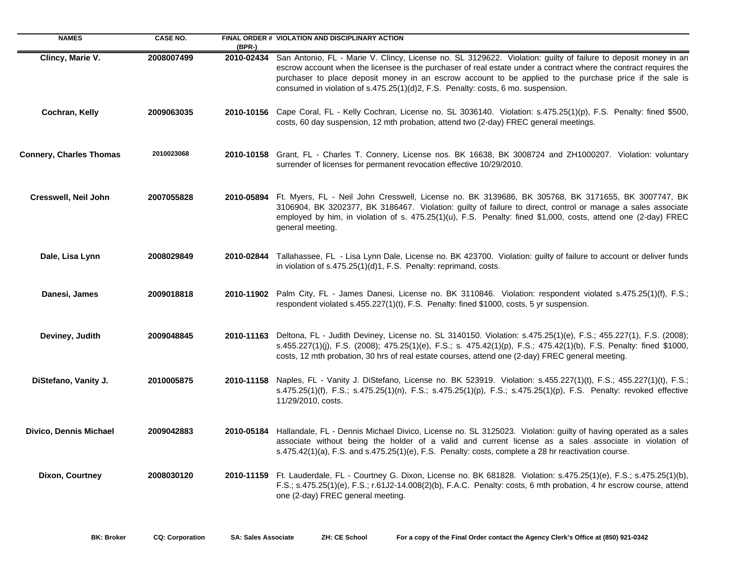| <b>NAMES</b>                   | <b>CASE NO.</b> | (BPR-)     | FINAL ORDER # VIOLATION AND DISCIPLINARY ACTION                                                                                                                                                                                                                                                                                                                                                                                     |
|--------------------------------|-----------------|------------|-------------------------------------------------------------------------------------------------------------------------------------------------------------------------------------------------------------------------------------------------------------------------------------------------------------------------------------------------------------------------------------------------------------------------------------|
| Clincy, Marie V.               | 2008007499      | 2010-02434 | San Antonio, FL - Marie V. Clincy, License no. SL 3129622. Violation: guilty of failure to deposit money in an<br>escrow account when the licensee is the purchaser of real estate under a contract where the contract requires the<br>purchaser to place deposit money in an escrow account to be applied to the purchase price if the sale is<br>consumed in violation of s.475.25(1)(d)2, F.S. Penalty: costs, 6 mo. suspension. |
| Cochran, Kelly                 | 2009063035      |            | 2010-10156 Cape Coral, FL - Kelly Cochran, License no. SL 3036140. Violation: s.475.25(1)(p), F.S. Penalty: fined \$500,<br>costs, 60 day suspension, 12 mth probation, attend two (2-day) FREC general meetings.                                                                                                                                                                                                                   |
| <b>Connery, Charles Thomas</b> | 2010023068      |            | 2010-10158 Grant, FL - Charles T. Connery, License nos. BK 16638, BK 3008724 and ZH1000207. Violation: voluntary<br>surrender of licenses for permanent revocation effective 10/29/2010.                                                                                                                                                                                                                                            |
| Cresswell, Neil John           | 2007055828      |            | 2010-05894 Ft. Myers, FL - Neil John Cresswell, License no. BK 3139686, BK 305768, BK 3171655, BK 3007747, BK<br>3106904, BK 3202377, BK 3186467. Violation: guilty of failure to direct, control or manage a sales associate<br>employed by him, in violation of s. 475.25(1)(u), F.S. Penalty: fined \$1,000, costs, attend one (2-day) FREC<br>general meeting.                                                                  |
| Dale, Lisa Lynn                | 2008029849      | 2010-02844 | Tallahassee, FL - Lisa Lynn Dale, License no. BK 423700. Violation: guilty of failure to account or deliver funds<br>in violation of s.475.25(1)(d)1, F.S. Penalty: reprimand, costs.                                                                                                                                                                                                                                               |
| Danesi, James                  | 2009018818      |            | 2010-11902 Palm City, FL - James Danesi, License no. BK 3110846. Violation: respondent violated s.475.25(1)(f), F.S.;<br>respondent violated s.455.227(1)(t), F.S. Penalty: fined \$1000, costs, 5 yr suspension.                                                                                                                                                                                                                   |
| Deviney, Judith                | 2009048845      |            | 2010-11163 Deltona, FL - Judith Deviney, License no. SL 3140150. Violation: s.475.25(1)(e), F.S.; 455.227(1), F.S. (2008);<br>s.455.227(1)(j), F.S. (2008); 475.25(1)(e), F.S.; s. 475.42(1)(p), F.S.; 475.42(1)(b), F.S. Penalty: fined \$1000,<br>costs, 12 mth probation, 30 hrs of real estate courses, attend one (2-day) FREC general meeting.                                                                                |
| DiStefano, Vanity J.           | 2010005875      |            | 2010-11158 Naples, FL - Vanity J. DiStefano, License no. BK 523919. Violation: s.455.227(1)(t), F.S.; 455.227(1)(t), F.S.;<br>s.475.25(1)(f), F.S.; s.475.25(1)(n), F.S.; s.475.25(1)(p), F.S.; s.475.25(1)(p), F.S. Penalty: revoked effective<br>11/29/2010, costs.                                                                                                                                                               |
| <b>Divico, Dennis Michael</b>  | 2009042883      |            | 2010-05184 Hallandale, FL - Dennis Michael Divico, License no. SL 3125023. Violation: guilty of having operated as a sales<br>associate without being the holder of a valid and current license as a sales associate in violation of<br>s.475.42(1)(a), F.S. and s.475.25(1)(e), F.S. Penalty: costs, complete a 28 hr reactivation course.                                                                                         |
| Dixon, Courtney                | 2008030120      |            | 2010-11159 Ft. Lauderdale, FL - Courtney G. Dixon, License no. BK 681828. Violation: s.475.25(1)(e), F.S.; s.475.25(1)(b),<br>F.S.; s.475.25(1)(e), F.S.; r.61J2-14.008(2)(b), F.A.C. Penalty: costs, 6 mth probation, 4 hr escrow course, attend<br>one (2-day) FREC general meeting.                                                                                                                                              |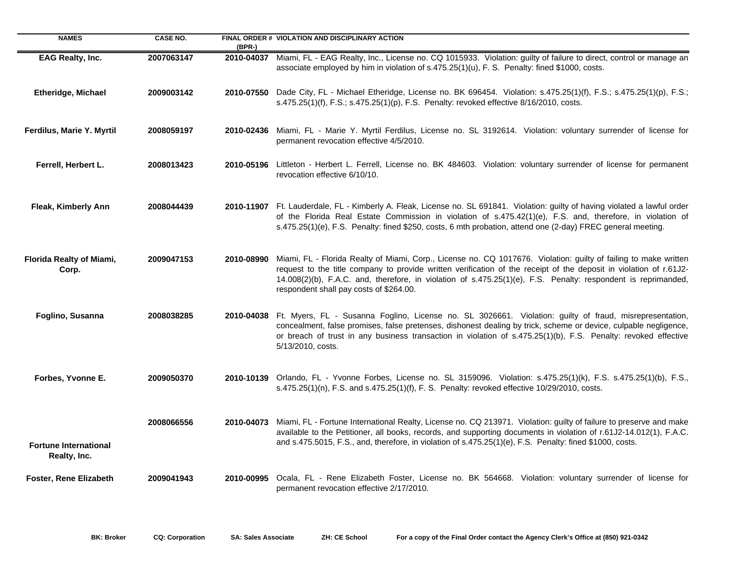| <b>NAMES</b>                                 | <b>CASE NO.</b> | $(BPR-)$   | FINAL ORDER # VIOLATION AND DISCIPLINARY ACTION                                                                                                                                                                                                                                                                                                                                                    |
|----------------------------------------------|-----------------|------------|----------------------------------------------------------------------------------------------------------------------------------------------------------------------------------------------------------------------------------------------------------------------------------------------------------------------------------------------------------------------------------------------------|
| EAG Realty, Inc.                             | 2007063147      | 2010-04037 | Miami, FL - EAG Realty, Inc., License no. CQ 1015933. Violation: guilty of failure to direct, control or manage an<br>associate employed by him in violation of s.475.25(1)(u), F. S. Penalty: fined \$1000, costs.                                                                                                                                                                                |
| <b>Etheridge, Michael</b>                    | 2009003142      | 2010-07550 | Dade City, FL - Michael Etheridge, License no. BK 696454. Violation: s.475.25(1)(f), F.S.; s.475.25(1)(p), F.S.;<br>s.475.25(1)(f), F.S.; s.475.25(1)(p), F.S. Penalty: revoked effective 8/16/2010, costs.                                                                                                                                                                                        |
| Ferdilus, Marie Y. Myrtil                    | 2008059197      | 2010-02436 | Miami, FL - Marie Y. Myrtil Ferdilus, License no. SL 3192614. Violation: voluntary surrender of license for<br>permanent revocation effective 4/5/2010.                                                                                                                                                                                                                                            |
| Ferrell, Herbert L.                          | 2008013423      |            | 2010-05196 Littleton - Herbert L. Ferrell, License no. BK 484603. Violation: voluntary surrender of license for permanent<br>revocation effective 6/10/10.                                                                                                                                                                                                                                         |
| <b>Fleak, Kimberly Ann</b>                   | 2008044439      |            | 2010-11907 Ft. Lauderdale, FL - Kimberly A. Fleak, License no. SL 691841. Violation: guilty of having violated a lawful order<br>of the Florida Real Estate Commission in violation of s.475.42(1)(e), F.S. and, therefore, in violation of<br>s.475.25(1)(e), F.S. Penalty: fined \$250, costs, 6 mth probation, attend one (2-day) FREC general meeting.                                         |
| <b>Florida Realty of Miami,</b><br>Corp.     | 2009047153      | 2010-08990 | Miami, FL - Florida Realty of Miami, Corp., License no. CQ 1017676. Violation: guilty of failing to make written<br>request to the title company to provide written verification of the receipt of the deposit in violation of r.61J2-<br>14.008(2)(b), F.A.C. and, therefore, in violation of s.475.25(1)(e), F.S. Penalty: respondent is reprimanded,<br>respondent shall pay costs of \$264.00. |
| Foglino, Susanna                             | 2008038285      | 2010-04038 | Ft. Myers, FL - Susanna Foglino, License no. SL 3026661. Violation: guilty of fraud, misrepresentation,<br>concealment, false promises, false pretenses, dishonest dealing by trick, scheme or device, culpable negligence,<br>or breach of trust in any business transaction in violation of s.475.25(1)(b), F.S. Penalty: revoked effective<br>5/13/2010, costs.                                 |
| Forbes, Yvonne E.                            | 2009050370      |            | 2010-10139 Orlando, FL - Yvonne Forbes, License no. SL 3159096. Violation: s.475.25(1)(k), F.S. s.475.25(1)(b), F.S.,<br>s.475.25(1)(n), F.S. and s.475.25(1)(f), F. S. Penalty: revoked effective 10/29/2010, costs.                                                                                                                                                                              |
| <b>Fortune International</b><br>Realty, Inc. | 2008066556      | 2010-04073 | Miami, FL - Fortune International Realty, License no. CQ 213971. Violation: guilty of failure to preserve and make<br>available to the Petitioner, all books, records, and supporting documents in violation of r.61J2-14.012(1), F.A.C.<br>and s.475.5015, F.S., and, therefore, in violation of s.475.25(1)(e), F.S. Penalty: fined \$1000, costs.                                               |
| <b>Foster, Rene Elizabeth</b>                | 2009041943      | 2010-00995 | Ocala, FL - Rene Elizabeth Foster, License no. BK 564668. Violation: voluntary surrender of license for<br>permanent revocation effective 2/17/2010.                                                                                                                                                                                                                                               |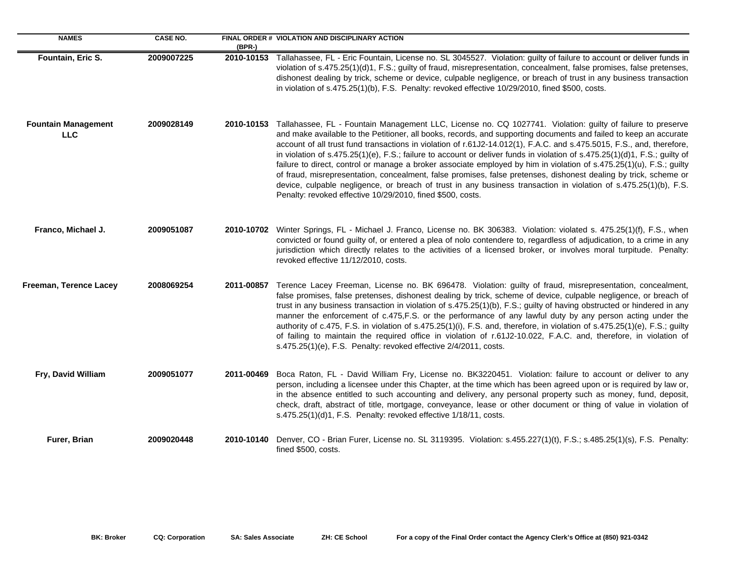| <b>NAMES</b>                             | <b>CASE NO.</b> | $(BPR-)$   | FINAL ORDER # VIOLATION AND DISCIPLINARY ACTION                                                                                                                                                                                                                                                                                                                                                                                                                                                                                                                                                                                                                                                                                                                                                                                                                                                                       |
|------------------------------------------|-----------------|------------|-----------------------------------------------------------------------------------------------------------------------------------------------------------------------------------------------------------------------------------------------------------------------------------------------------------------------------------------------------------------------------------------------------------------------------------------------------------------------------------------------------------------------------------------------------------------------------------------------------------------------------------------------------------------------------------------------------------------------------------------------------------------------------------------------------------------------------------------------------------------------------------------------------------------------|
| Fountain, Eric S.                        | 2009007225      | 2010-10153 | Tallahassee, FL - Eric Fountain, License no. SL 3045527. Violation: guilty of failure to account or deliver funds in<br>violation of s.475.25(1)(d)1, F.S.; guilty of fraud, misrepresentation, concealment, false promises, false pretenses,<br>dishonest dealing by trick, scheme or device, culpable negligence, or breach of trust in any business transaction<br>in violation of s.475.25(1)(b), F.S. Penalty: revoked effective 10/29/2010, fined \$500, costs.                                                                                                                                                                                                                                                                                                                                                                                                                                                 |
| <b>Fountain Management</b><br><b>LLC</b> | 2009028149      | 2010-10153 | Tallahassee, FL - Fountain Management LLC, License no. CQ 1027741. Violation: guilty of failure to preserve<br>and make available to the Petitioner, all books, records, and supporting documents and failed to keep an accurate<br>account of all trust fund transactions in violation of r.61J2-14.012(1), F.A.C. and s.475.5015, F.S., and, therefore,<br>in violation of s.475.25(1)(e), F.S.; failure to account or deliver funds in violation of s.475.25(1)(d)1, F.S.; guilty of<br>failure to direct, control or manage a broker associate employed by him in violation of s.475.25(1)(u), F.S.; guilty<br>of fraud, misrepresentation, concealment, false promises, false pretenses, dishonest dealing by trick, scheme or<br>device, culpable negligence, or breach of trust in any business transaction in violation of s.475.25(1)(b), F.S.<br>Penalty: revoked effective 10/29/2010, fined \$500, costs. |
| Franco, Michael J.                       | 2009051087      |            | 2010-10702 Winter Springs, FL - Michael J. Franco, License no. BK 306383. Violation: violated s. 475.25(1)(f), F.S., when<br>convicted or found guilty of, or entered a plea of nolo contendere to, regardless of adjudication, to a crime in any<br>jurisdiction which directly relates to the activities of a licensed broker, or involves moral turpitude. Penalty:<br>revoked effective 11/12/2010, costs.                                                                                                                                                                                                                                                                                                                                                                                                                                                                                                        |
| Freeman, Terence Lacey                   | 2008069254      | 2011-00857 | Terence Lacey Freeman, License no. BK 696478. Violation: guilty of fraud, misrepresentation, concealment,<br>false promises, false pretenses, dishonest dealing by trick, scheme of device, culpable negligence, or breach of<br>trust in any business transaction in violation of s.475.25(1)(b), F.S.; guilty of having obstructed or hindered in any<br>manner the enforcement of c.475, F.S. or the performance of any lawful duty by any person acting under the<br>authority of c.475, F.S. in violation of s.475.25(1)(i), F.S. and, therefore, in violation of s.475.25(1)(e), F.S.; guilty<br>of failing to maintain the required office in violation of r.61J2-10.022, F.A.C. and, therefore, in violation of<br>s.475.25(1)(e), F.S. Penalty: revoked effective 2/4/2011, costs.                                                                                                                           |
| Fry, David William                       | 2009051077      | 2011-00469 | Boca Raton, FL - David William Fry, License no. BK3220451. Violation: failure to account or deliver to any<br>person, including a licensee under this Chapter, at the time which has been agreed upon or is required by law or,<br>in the absence entitled to such accounting and delivery, any personal property such as money, fund, deposit,<br>check, draft, abstract of title, mortgage, conveyance, lease or other document or thing of value in violation of<br>s.475.25(1)(d)1, F.S. Penalty: revoked effective 1/18/11, costs.                                                                                                                                                                                                                                                                                                                                                                               |
| Furer, Brian                             | 2009020448      | 2010-10140 | Denver, CO - Brian Furer, License no. SL 3119395. Violation: s.455.227(1)(t), F.S.; s.485.25(1)(s), F.S. Penalty:<br>fined \$500, costs.                                                                                                                                                                                                                                                                                                                                                                                                                                                                                                                                                                                                                                                                                                                                                                              |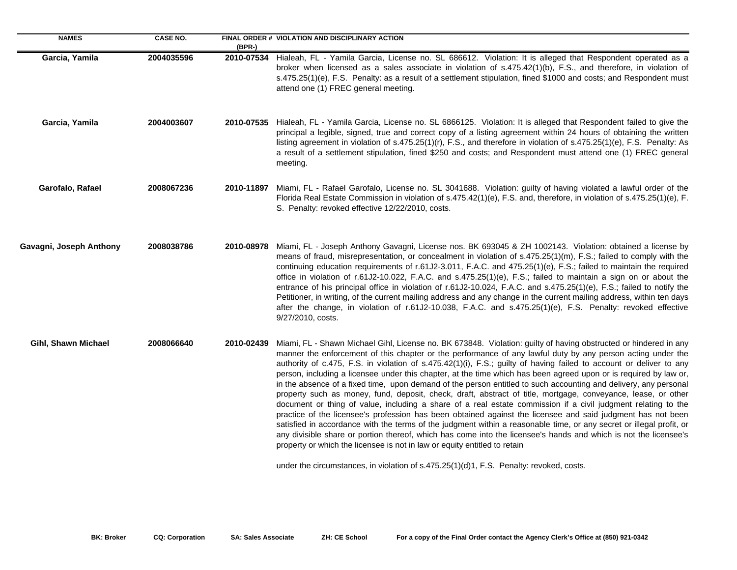| <b>NAMES</b>            | <b>CASE NO.</b> | (BPR-)     | FINAL ORDER # VIOLATION AND DISCIPLINARY ACTION                                                                                                                                                                                                                                                                                                                                                                                                                                                                                                                                                                                                                                                                                                                                                                                                                                                                                                                                                                                                                                                                                                                                                                                                                                                                                                                      |
|-------------------------|-----------------|------------|----------------------------------------------------------------------------------------------------------------------------------------------------------------------------------------------------------------------------------------------------------------------------------------------------------------------------------------------------------------------------------------------------------------------------------------------------------------------------------------------------------------------------------------------------------------------------------------------------------------------------------------------------------------------------------------------------------------------------------------------------------------------------------------------------------------------------------------------------------------------------------------------------------------------------------------------------------------------------------------------------------------------------------------------------------------------------------------------------------------------------------------------------------------------------------------------------------------------------------------------------------------------------------------------------------------------------------------------------------------------|
| Garcia, Yamila          | 2004035596      | 2010-07534 | Hialeah, FL - Yamila Garcia, License no. SL 686612. Violation: It is alleged that Respondent operated as a<br>broker when licensed as a sales associate in violation of s.475.42(1)(b), F.S., and therefore, in violation of<br>s.475.25(1)(e), F.S. Penalty: as a result of a settlement stipulation, fined \$1000 and costs; and Respondent must<br>attend one (1) FREC general meeting.                                                                                                                                                                                                                                                                                                                                                                                                                                                                                                                                                                                                                                                                                                                                                                                                                                                                                                                                                                           |
| Garcia, Yamila          | 2004003607      | 2010-07535 | Hialeah, FL - Yamila Garcia, License no. SL 6866125. Violation: It is alleged that Respondent failed to give the<br>principal a legible, signed, true and correct copy of a listing agreement within 24 hours of obtaining the written<br>listing agreement in violation of s.475.25(1)(r), F.S., and therefore in violation of s.475.25(1)(e), F.S. Penalty: As<br>a result of a settlement stipulation, fined \$250 and costs; and Respondent must attend one (1) FREC general<br>meeting.                                                                                                                                                                                                                                                                                                                                                                                                                                                                                                                                                                                                                                                                                                                                                                                                                                                                         |
| Garofalo, Rafael        | 2008067236      | 2010-11897 | Miami, FL - Rafael Garofalo, License no. SL 3041688. Violation: guilty of having violated a lawful order of the<br>Florida Real Estate Commission in violation of s.475.42(1)(e), F.S. and, therefore, in violation of s.475.25(1)(e), F.<br>S. Penalty: revoked effective 12/22/2010, costs.                                                                                                                                                                                                                                                                                                                                                                                                                                                                                                                                                                                                                                                                                                                                                                                                                                                                                                                                                                                                                                                                        |
| Gavagni, Joseph Anthony | 2008038786      | 2010-08978 | Miami, FL - Joseph Anthony Gavagni, License nos. BK 693045 & ZH 1002143. Violation: obtained a license by<br>means of fraud, misrepresentation, or concealment in violation of s.475.25(1)(m), F.S.; failed to comply with the<br>continuing education requirements of r.61J2-3.011, F.A.C. and 475.25(1)(e), F.S.; failed to maintain the required<br>office in violation of r.61J2-10.022, F.A.C. and s.475.25(1)(e), F.S.; failed to maintain a sign on or about the<br>entrance of his principal office in violation of r.61J2-10.024, F.A.C. and s.475.25(1)(e), F.S.; failed to notify the<br>Petitioner, in writing, of the current mailing address and any change in the current mailing address, within ten days<br>after the change, in violation of r.61J2-10.038, F.A.C. and s.475.25(1)(e), F.S. Penalty: revoked effective<br>9/27/2010, costs.                                                                                                                                                                                                                                                                                                                                                                                                                                                                                                        |
| Gihl, Shawn Michael     | 2008066640      | 2010-02439 | Miami, FL - Shawn Michael Gihl, License no. BK 673848. Violation: guilty of having obstructed or hindered in any<br>manner the enforcement of this chapter or the performance of any lawful duty by any person acting under the<br>authority of c.475, F.S. in violation of s.475.42(1)(i), F.S.; guilty of having failed to account or deliver to any<br>person, including a licensee under this chapter, at the time which has been agreed upon or is required by law or,<br>in the absence of a fixed time, upon demand of the person entitled to such accounting and delivery, any personal<br>property such as money, fund, deposit, check, draft, abstract of title, mortgage, conveyance, lease, or other<br>document or thing of value, including a share of a real estate commission if a civil judgment relating to the<br>practice of the licensee's profession has been obtained against the licensee and said judgment has not been<br>satisfied in accordance with the terms of the judgment within a reasonable time, or any secret or illegal profit, or<br>any divisible share or portion thereof, which has come into the licensee's hands and which is not the licensee's<br>property or which the licensee is not in law or equity entitled to retain<br>under the circumstances, in violation of s.475.25(1)(d)1, F.S. Penalty: revoked, costs. |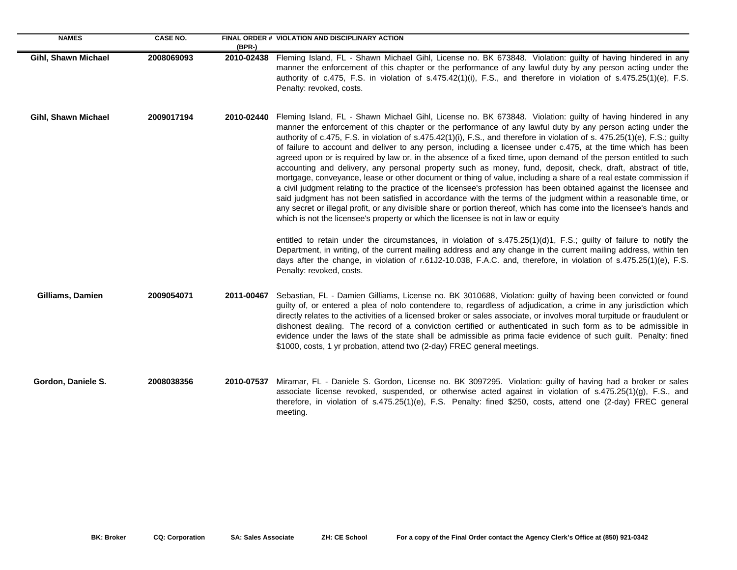| <b>NAMES</b>        | <b>CASE NO.</b> | $(BPR-)$   | FINAL ORDER # VIOLATION AND DISCIPLINARY ACTION                                                                                                                                                                                                                                                                                                                                                                                                                                                                                                                                                                                                                                                                                                                                                                                                                                                                                                                                                                                                                                                                                                                                                                                                                                                                                                                                                                                                                                                                                                                                                                                                                                         |
|---------------------|-----------------|------------|-----------------------------------------------------------------------------------------------------------------------------------------------------------------------------------------------------------------------------------------------------------------------------------------------------------------------------------------------------------------------------------------------------------------------------------------------------------------------------------------------------------------------------------------------------------------------------------------------------------------------------------------------------------------------------------------------------------------------------------------------------------------------------------------------------------------------------------------------------------------------------------------------------------------------------------------------------------------------------------------------------------------------------------------------------------------------------------------------------------------------------------------------------------------------------------------------------------------------------------------------------------------------------------------------------------------------------------------------------------------------------------------------------------------------------------------------------------------------------------------------------------------------------------------------------------------------------------------------------------------------------------------------------------------------------------------|
| Gihl, Shawn Michael | 2008069093      |            | 2010-02438 Fleming Island, FL - Shawn Michael Gihl, License no. BK 673848. Violation: guilty of having hindered in any<br>manner the enforcement of this chapter or the performance of any lawful duty by any person acting under the<br>authority of c.475, F.S. in violation of s.475.42(1)(i), F.S., and therefore in violation of s.475.25(1)(e), F.S.<br>Penalty: revoked, costs.                                                                                                                                                                                                                                                                                                                                                                                                                                                                                                                                                                                                                                                                                                                                                                                                                                                                                                                                                                                                                                                                                                                                                                                                                                                                                                  |
| Gihl, Shawn Michael | 2009017194      | 2010-02440 | Fleming Island, FL - Shawn Michael Gihl, License no. BK 673848. Violation: guilty of having hindered in any<br>manner the enforcement of this chapter or the performance of any lawful duty by any person acting under the<br>authority of c.475, F.S. in violation of s.475.42(1)(i), F.S., and therefore in violation of s. 475.25(1)(e), F.S.; guilty<br>of failure to account and deliver to any person, including a licensee under c.475, at the time which has been<br>agreed upon or is required by law or, in the absence of a fixed time, upon demand of the person entitled to such<br>accounting and delivery, any personal property such as money, fund, deposit, check, draft, abstract of title,<br>mortgage, conveyance, lease or other document or thing of value, including a share of a real estate commission if<br>a civil judgment relating to the practice of the licensee's profession has been obtained against the licensee and<br>said judgment has not been satisfied in accordance with the terms of the judgment within a reasonable time, or<br>any secret or illegal profit, or any divisible share or portion thereof, which has come into the licensee's hands and<br>which is not the licensee's property or which the licensee is not in law or equity<br>entitled to retain under the circumstances, in violation of $s.475.25(1)(d)1$ , F.S.; guilty of failure to notify the<br>Department, in writing, of the current mailing address and any change in the current mailing address, within ten<br>days after the change, in violation of r.61J2-10.038, F.A.C. and, therefore, in violation of s.475.25(1)(e), F.S.<br>Penalty: revoked, costs. |
| Gilliams, Damien    | 2009054071      | 2011-00467 | Sebastian, FL - Damien Gilliams, License no. BK 3010688, Violation: guilty of having been convicted or found<br>guilty of, or entered a plea of nolo contendere to, regardless of adjudication, a crime in any jurisdiction which<br>directly relates to the activities of a licensed broker or sales associate, or involves moral turpitude or fraudulent or<br>dishonest dealing. The record of a conviction certified or authenticated in such form as to be admissible in<br>evidence under the laws of the state shall be admissible as prima facie evidence of such guilt. Penalty: fined<br>\$1000, costs, 1 yr probation, attend two (2-day) FREC general meetings.                                                                                                                                                                                                                                                                                                                                                                                                                                                                                                                                                                                                                                                                                                                                                                                                                                                                                                                                                                                                             |
| Gordon, Daniele S.  | 2008038356      | 2010-07537 | Miramar, FL - Daniele S. Gordon, License no. BK 3097295. Violation: guilty of having had a broker or sales<br>associate license revoked, suspended, or otherwise acted against in violation of s.475.25(1)(g), F.S., and<br>therefore, in violation of s.475.25(1)(e), F.S. Penalty: fined \$250, costs, attend one (2-day) FREC general<br>meeting.                                                                                                                                                                                                                                                                                                                                                                                                                                                                                                                                                                                                                                                                                                                                                                                                                                                                                                                                                                                                                                                                                                                                                                                                                                                                                                                                    |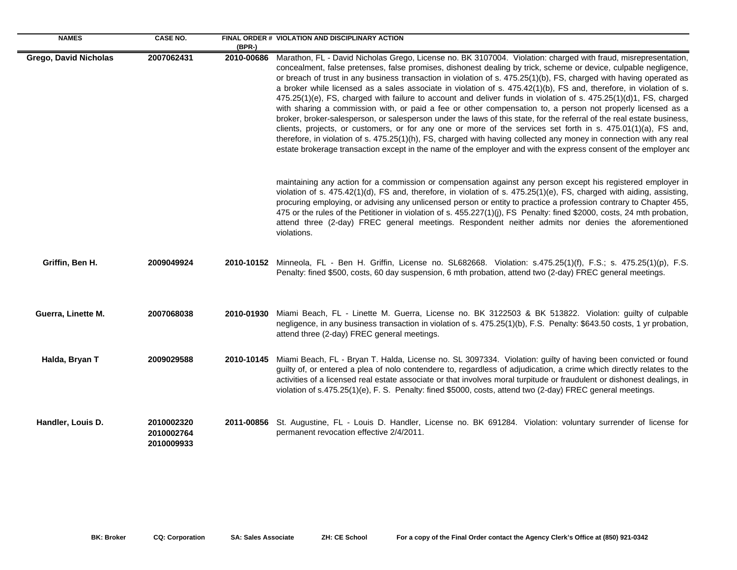| <b>NAMES</b>                 | <b>CASE NO.</b>                        | $(BPR-)$   | FINAL ORDER # VIOLATION AND DISCIPLINARY ACTION                                                                                                                                                                                                                                                                                                                                                                                                                                                                                                                                                                                                                                                                                                                                                                                                                                                                                                                                                                                                                                                                                                                                                            |
|------------------------------|----------------------------------------|------------|------------------------------------------------------------------------------------------------------------------------------------------------------------------------------------------------------------------------------------------------------------------------------------------------------------------------------------------------------------------------------------------------------------------------------------------------------------------------------------------------------------------------------------------------------------------------------------------------------------------------------------------------------------------------------------------------------------------------------------------------------------------------------------------------------------------------------------------------------------------------------------------------------------------------------------------------------------------------------------------------------------------------------------------------------------------------------------------------------------------------------------------------------------------------------------------------------------|
| <b>Grego, David Nicholas</b> | 2007062431                             | 2010-00686 | Marathon, FL - David Nicholas Grego, License no. BK 3107004. Violation: charged with fraud, misrepresentation,<br>concealment, false pretenses, false promises, dishonest dealing by trick, scheme or device, culpable negligence,<br>or breach of trust in any business transaction in violation of s. 475.25(1)(b), FS, charged with having operated as<br>a broker while licensed as a sales associate in violation of s. 475.42(1)(b), FS and, therefore, in violation of s.<br>475.25(1)(e), FS, charged with failure to account and deliver funds in violation of s. 475.25(1)(d)1, FS, charged<br>with sharing a commission with, or paid a fee or other compensation to, a person not properly licensed as a<br>broker, broker-salesperson, or salesperson under the laws of this state, for the referral of the real estate business,<br>clients, projects, or customers, or for any one or more of the services set forth in s. 475.01(1)(a), FS and,<br>therefore, in violation of s. 475.25(1)(h), FS, charged with having collected any money in connection with any real<br>estate brokerage transaction except in the name of the employer and with the express consent of the employer and |
|                              |                                        |            | maintaining any action for a commission or compensation against any person except his registered employer in<br>violation of s. 475.42(1)(d), FS and, therefore, in violation of s. 475.25(1)(e), FS, charged with aiding, assisting,<br>procuring employing, or advising any unlicensed person or entity to practice a profession contrary to Chapter 455,<br>475 or the rules of the Petitioner in violation of s. 455.227(1)(j), FS Penalty: fined \$2000, costs, 24 mth probation,<br>attend three (2-day) FREC general meetings. Respondent neither admits nor denies the aforementioned<br>violations.                                                                                                                                                                                                                                                                                                                                                                                                                                                                                                                                                                                               |
| Griffin, Ben H.              | 2009049924                             |            | 2010-10152 Minneola, FL - Ben H. Griffin, License no. SL682668. Violation: s.475.25(1)(f), F.S.; s. 475.25(1)(p), F.S.<br>Penalty: fined \$500, costs, 60 day suspension, 6 mth probation, attend two (2-day) FREC general meetings.                                                                                                                                                                                                                                                                                                                                                                                                                                                                                                                                                                                                                                                                                                                                                                                                                                                                                                                                                                       |
| Guerra, Linette M.           | 2007068038                             | 2010-01930 | Miami Beach, FL - Linette M. Guerra, License no. BK 3122503 & BK 513822. Violation: guilty of culpable<br>negligence, in any business transaction in violation of s. 475.25(1)(b), F.S. Penalty: \$643.50 costs, 1 yr probation,<br>attend three (2-day) FREC general meetings.                                                                                                                                                                                                                                                                                                                                                                                                                                                                                                                                                                                                                                                                                                                                                                                                                                                                                                                            |
| Halda, Bryan T               | 2009029588                             | 2010-10145 | Miami Beach, FL - Bryan T. Halda, License no. SL 3097334. Violation: guilty of having been convicted or found<br>guilty of, or entered a plea of nolo contendere to, regardless of adjudication, a crime which directly relates to the<br>activities of a licensed real estate associate or that involves moral turpitude or fraudulent or dishonest dealings, in<br>violation of s.475.25(1)(e), F. S. Penalty: fined \$5000, costs, attend two (2-day) FREC general meetings.                                                                                                                                                                                                                                                                                                                                                                                                                                                                                                                                                                                                                                                                                                                            |
| Handler, Louis D.            | 2010002320<br>2010002764<br>2010009933 | 2011-00856 | St. Augustine, FL - Louis D. Handler, License no. BK 691284. Violation: voluntary surrender of license for<br>permanent revocation effective 2/4/2011.                                                                                                                                                                                                                                                                                                                                                                                                                                                                                                                                                                                                                                                                                                                                                                                                                                                                                                                                                                                                                                                     |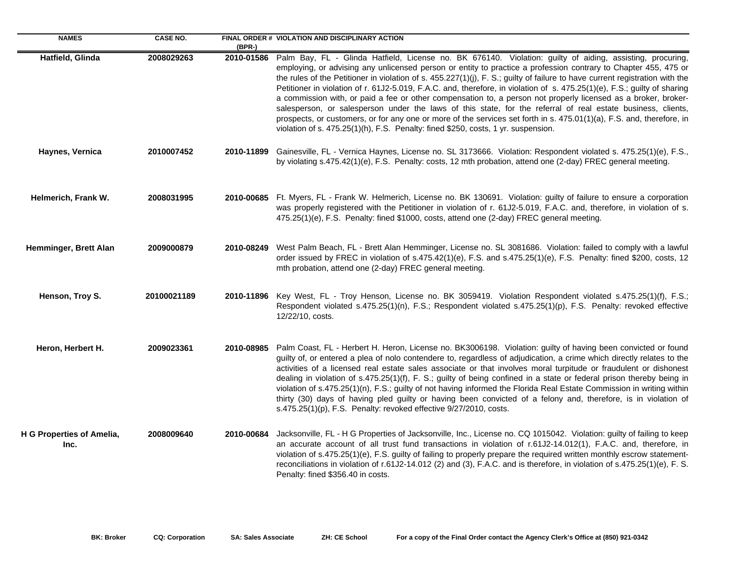| <b>NAMES</b>                      | <b>CASE NO.</b> | $(BPR-)$   | FINAL ORDER # VIOLATION AND DISCIPLINARY ACTION                                                                                                                                                                                                                                                                                                                                                                                                                                                                                                                                                                                                                                                                                                                                                                                                                                                                                              |
|-----------------------------------|-----------------|------------|----------------------------------------------------------------------------------------------------------------------------------------------------------------------------------------------------------------------------------------------------------------------------------------------------------------------------------------------------------------------------------------------------------------------------------------------------------------------------------------------------------------------------------------------------------------------------------------------------------------------------------------------------------------------------------------------------------------------------------------------------------------------------------------------------------------------------------------------------------------------------------------------------------------------------------------------|
| Hatfield, Glinda                  | 2008029263      | 2010-01586 | Palm Bay, FL - Glinda Hatfield, License no. BK 676140. Violation: guilty of aiding, assisting, procuring,<br>employing, or advising any unlicensed person or entity to practice a profession contrary to Chapter 455, 475 or<br>the rules of the Petitioner in violation of s. $455.227(1)(j)$ , F. S.; guilty of failure to have current registration with the<br>Petitioner in violation of r. 61J2-5.019, F.A.C. and, therefore, in violation of s. 475.25(1)(e), F.S.; guilty of sharing<br>a commission with, or paid a fee or other compensation to, a person not properly licensed as a broker, broker-<br>salesperson, or salesperson under the laws of this state, for the referral of real estate business, clients,<br>prospects, or customers, or for any one or more of the services set forth in s. 475.01(1)(a), F.S. and, therefore, in<br>violation of s. 475.25(1)(h), F.S. Penalty: fined \$250, costs, 1 yr. suspension. |
| Haynes, Vernica                   | 2010007452      |            | 2010-11899 Gainesville, FL - Vernica Haynes, License no. SL 3173666. Violation: Respondent violated s. 475.25(1)(e), F.S.,<br>by violating s.475.42(1)(e), F.S. Penalty: costs, 12 mth probation, attend one (2-day) FREC general meeting.                                                                                                                                                                                                                                                                                                                                                                                                                                                                                                                                                                                                                                                                                                   |
| Helmerich, Frank W.               | 2008031995      |            | 2010-00685 Ft. Myers, FL - Frank W. Helmerich, License no. BK 130691. Violation: guilty of failure to ensure a corporation<br>was properly registered with the Petitioner in violation of r. 61J2-5.019, F.A.C. and, therefore, in violation of s.<br>475.25(1)(e), F.S. Penalty: fined \$1000, costs, attend one (2-day) FREC general meeting.                                                                                                                                                                                                                                                                                                                                                                                                                                                                                                                                                                                              |
| Hemminger, Brett Alan             | 2009000879      |            | 2010-08249 West Palm Beach, FL - Brett Alan Hemminger, License no. SL 3081686. Violation: failed to comply with a lawful<br>order issued by FREC in violation of s.475.42(1)(e), F.S. and s.475.25(1)(e), F.S. Penalty: fined \$200, costs, 12<br>mth probation, attend one (2-day) FREC general meeting.                                                                                                                                                                                                                                                                                                                                                                                                                                                                                                                                                                                                                                    |
| Henson, Troy S.                   | 20100021189     |            | 2010-11896 Key West, FL - Troy Henson, License no. BK 3059419. Violation Respondent violated s.475.25(1)(f), F.S.;<br>Respondent violated s.475.25(1)(n), F.S.; Respondent violated s.475.25(1)(p), F.S. Penalty: revoked effective<br>12/22/10, costs.                                                                                                                                                                                                                                                                                                                                                                                                                                                                                                                                                                                                                                                                                      |
| Heron, Herbert H.                 | 2009023361      | 2010-08985 | Palm Coast, FL - Herbert H. Heron, License no. BK3006198. Violation: guilty of having been convicted or found<br>guilty of, or entered a plea of nolo contendere to, regardless of adjudication, a crime which directly relates to the<br>activities of a licensed real estate sales associate or that involves moral turpitude or fraudulent or dishonest<br>dealing in violation of s.475.25(1)(f), F. S.; guilty of being confined in a state or federal prison thereby being in<br>violation of s.475.25(1)(n), F.S.; guilty of not having informed the Florida Real Estate Commission in writing within<br>thirty (30) days of having pled guilty or having been convicted of a felony and, therefore, is in violation of<br>s.475.25(1)(p), F.S. Penalty: revoked effective 9/27/2010, costs.                                                                                                                                          |
| H G Properties of Amelia,<br>Inc. | 2008009640      | 2010-00684 | Jacksonville, FL - H G Properties of Jacksonville, Inc., License no. CQ 1015042. Violation: guilty of failing to keep<br>an accurate account of all trust fund transactions in violation of r.61J2-14.012(1), F.A.C. and, therefore, in<br>violation of s.475.25(1)(e), F.S. guilty of failing to properly prepare the required written monthly escrow statement-<br>reconciliations in violation of r.61J2-14.012 (2) and (3), F.A.C. and is therefore, in violation of s.475.25(1)(e), F. S.<br>Penalty: fined \$356.40 in costs.                                                                                                                                                                                                                                                                                                                                                                                                          |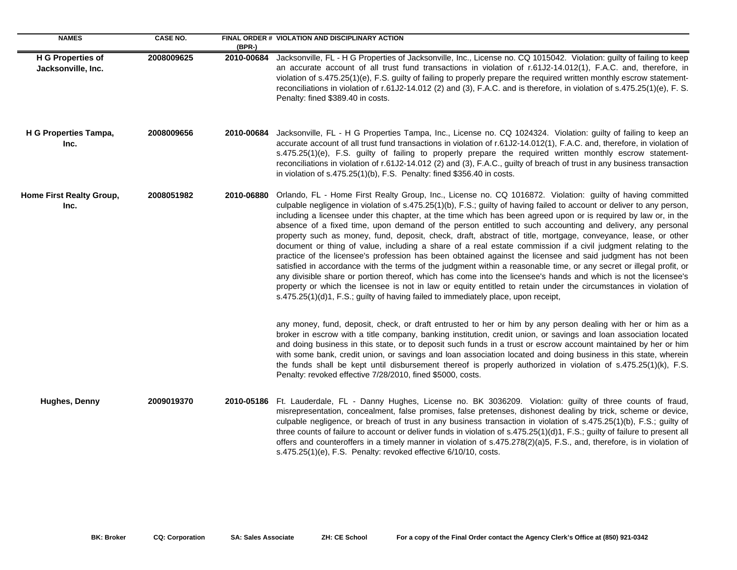| <b>NAMES</b>                                   | <b>CASE NO.</b> | $(BPR-)$   | FINAL ORDER # VIOLATION AND DISCIPLINARY ACTION                                                                                                                                                                                                                                                                                                                                                                                                                                                                                                                                                                                                                                                                                                                                                                                                                                                                                                                                                                                                                                                                                                                                                                                                                               |
|------------------------------------------------|-----------------|------------|-------------------------------------------------------------------------------------------------------------------------------------------------------------------------------------------------------------------------------------------------------------------------------------------------------------------------------------------------------------------------------------------------------------------------------------------------------------------------------------------------------------------------------------------------------------------------------------------------------------------------------------------------------------------------------------------------------------------------------------------------------------------------------------------------------------------------------------------------------------------------------------------------------------------------------------------------------------------------------------------------------------------------------------------------------------------------------------------------------------------------------------------------------------------------------------------------------------------------------------------------------------------------------|
| <b>H G Properties of</b><br>Jacksonville, Inc. | 2008009625      | 2010-00684 | Jacksonville, FL - H G Properties of Jacksonville, Inc., License no. CQ 1015042. Violation: guilty of failing to keep<br>an accurate account of all trust fund transactions in violation of r.61J2-14.012(1), F.A.C. and, therefore, in<br>violation of s.475.25(1)(e), F.S. guilty of failing to properly prepare the required written monthly escrow statement-<br>reconciliations in violation of r.61J2-14.012 (2) and (3), F.A.C. and is therefore, in violation of s.475.25(1)(e), F. S.<br>Penalty: fined \$389.40 in costs.                                                                                                                                                                                                                                                                                                                                                                                                                                                                                                                                                                                                                                                                                                                                           |
| H G Properties Tampa,<br>Inc.                  | 2008009656      | 2010-00684 | Jacksonville, FL - H G Properties Tampa, Inc., License no. CQ 1024324. Violation: guilty of failing to keep an<br>accurate account of all trust fund transactions in violation of r.61J2-14.012(1), F.A.C. and, therefore, in violation of<br>s.475.25(1)(e), F.S. guilty of failing to properly prepare the required written monthly escrow statement-<br>reconciliations in violation of r.61J2-14.012 (2) and (3), F.A.C., guilty of breach of trust in any business transaction<br>in violation of s.475.25(1)(b), F.S. Penalty: fined \$356.40 in costs.                                                                                                                                                                                                                                                                                                                                                                                                                                                                                                                                                                                                                                                                                                                 |
| Home First Realty Group,<br>Inc.               | 2008051982      | 2010-06880 | Orlando, FL - Home First Realty Group, Inc., License no. CQ 1016872. Violation: guilty of having committed<br>culpable negligence in violation of s.475.25(1)(b), F.S.; guilty of having failed to account or deliver to any person,<br>including a licensee under this chapter, at the time which has been agreed upon or is required by law or, in the<br>absence of a fixed time, upon demand of the person entitled to such accounting and delivery, any personal<br>property such as money, fund, deposit, check, draft, abstract of title, mortgage, conveyance, lease, or other<br>document or thing of value, including a share of a real estate commission if a civil judgment relating to the<br>practice of the licensee's profession has been obtained against the licensee and said judgment has not been<br>satisfied in accordance with the terms of the judgment within a reasonable time, or any secret or illegal profit, or<br>any divisible share or portion thereof, which has come into the licensee's hands and which is not the licensee's<br>property or which the licensee is not in law or equity entitled to retain under the circumstances in violation of<br>s.475.25(1)(d)1, F.S.; guilty of having failed to immediately place, upon receipt, |
|                                                |                 |            | any money, fund, deposit, check, or draft entrusted to her or him by any person dealing with her or him as a<br>broker in escrow with a title company, banking institution, credit union, or savings and loan association located<br>and doing business in this state, or to deposit such funds in a trust or escrow account maintained by her or him<br>with some bank, credit union, or savings and loan association located and doing business in this state, wherein<br>the funds shall be kept until disbursement thereof is properly authorized in violation of s.475.25(1)(k), F.S.<br>Penalty: revoked effective 7/28/2010, fined \$5000, costs.                                                                                                                                                                                                                                                                                                                                                                                                                                                                                                                                                                                                                      |
| <b>Hughes, Denny</b>                           | 2009019370      | 2010-05186 | Ft. Lauderdale, FL - Danny Hughes, License no. BK 3036209. Violation: guilty of three counts of fraud,<br>misrepresentation, concealment, false promises, false pretenses, dishonest dealing by trick, scheme or device,<br>culpable negligence, or breach of trust in any business transaction in violation of s.475.25(1)(b), F.S.; guilty of<br>three counts of failure to account or deliver funds in violation of s.475.25(1)(d)1, F.S.; guilty of failure to present all<br>offers and counteroffers in a timely manner in violation of s.475.278(2)(a)5, F.S., and, therefore, is in violation of<br>s.475.25(1)(e), F.S. Penalty: revoked effective 6/10/10, costs.                                                                                                                                                                                                                                                                                                                                                                                                                                                                                                                                                                                                   |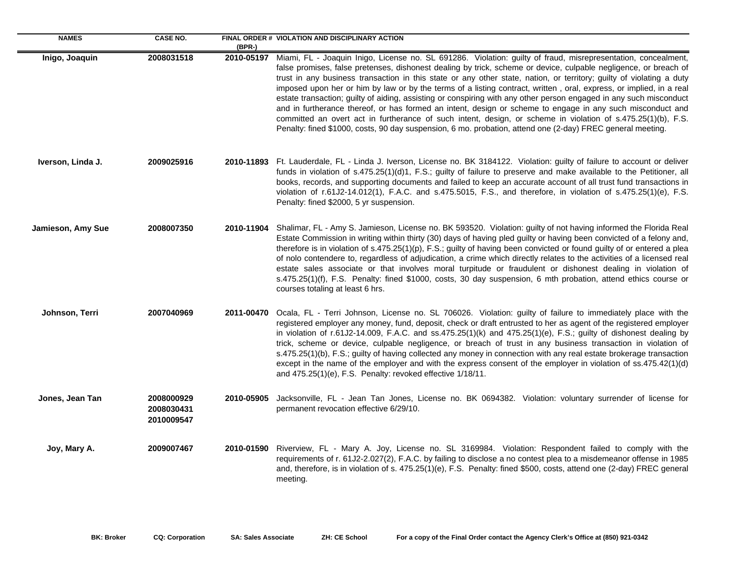| <b>NAMES</b>      | <b>CASE NO.</b>                        | (BPR-)     | FINAL ORDER # VIOLATION AND DISCIPLINARY ACTION                                                                                                                                                                                                                                                                                                                                                                                                                                                                                                                                                                                                                                                                                                                                                                                                                                                                                                               |
|-------------------|----------------------------------------|------------|---------------------------------------------------------------------------------------------------------------------------------------------------------------------------------------------------------------------------------------------------------------------------------------------------------------------------------------------------------------------------------------------------------------------------------------------------------------------------------------------------------------------------------------------------------------------------------------------------------------------------------------------------------------------------------------------------------------------------------------------------------------------------------------------------------------------------------------------------------------------------------------------------------------------------------------------------------------|
| Inigo, Joaquin    | 2008031518                             |            | 2010-05197 Miami, FL - Joaquin Inigo, License no. SL 691286. Violation: guilty of fraud, misrepresentation, concealment,<br>false promises, false pretenses, dishonest dealing by trick, scheme or device, culpable negligence, or breach of<br>trust in any business transaction in this state or any other state, nation, or territory; guilty of violating a duty<br>imposed upon her or him by law or by the terms of a listing contract, written, oral, express, or implied, in a real<br>estate transaction; guilty of aiding, assisting or conspiring with any other person engaged in any such misconduct<br>and in furtherance thereof, or has formed an intent, design or scheme to engage in any such misconduct and<br>committed an overt act in furtherance of such intent, design, or scheme in violation of s.475.25(1)(b), F.S.<br>Penalty: fined \$1000, costs, 90 day suspension, 6 mo. probation, attend one (2-day) FREC general meeting. |
| Iverson, Linda J. | 2009025916                             |            | 2010-11893 Ft. Lauderdale, FL - Linda J. Iverson, License no. BK 3184122. Violation: guilty of failure to account or deliver<br>funds in violation of s.475.25(1)(d)1, F.S.; guilty of failure to preserve and make available to the Petitioner, all<br>books, records, and supporting documents and failed to keep an accurate account of all trust fund transactions in<br>violation of r.61J2-14.012(1), F.A.C. and s.475.5015, F.S., and therefore, in violation of s.475.25(1)(e), F.S.<br>Penalty: fined \$2000, 5 yr suspension.                                                                                                                                                                                                                                                                                                                                                                                                                       |
| Jamieson, Amy Sue | 2008007350                             | 2010-11904 | Shalimar, FL - Amy S. Jamieson, License no. BK 593520. Violation: guilty of not having informed the Florida Real<br>Estate Commission in writing within thirty (30) days of having pled guilty or having been convicted of a felony and,<br>therefore is in violation of s.475.25(1)(p), F.S.; guilty of having been convicted or found guilty of or entered a plea<br>of nolo contendere to, regardless of adjudication, a crime which directly relates to the activities of a licensed real<br>estate sales associate or that involves moral turpitude or fraudulent or dishonest dealing in violation of<br>s.475.25(1)(f), F.S. Penalty: fined \$1000, costs, 30 day suspension, 6 mth probation, attend ethics course or<br>courses totaling at least 6 hrs.                                                                                                                                                                                             |
| Johnson, Terri    | 2007040969                             |            | 2011-00470 Ocala, FL - Terri Johnson, License no. SL 706026. Violation: guilty of failure to immediately place with the<br>registered employer any money, fund, deposit, check or draft entrusted to her as agent of the registered employer<br>in violation of r.61J2-14.009, F.A.C. and ss.475.25(1)(k) and 475.25(1)(e), F.S.; guilty of dishonest dealing by<br>trick, scheme or device, culpable negligence, or breach of trust in any business transaction in violation of<br>s.475.25(1)(b), F.S.; guilty of having collected any money in connection with any real estate brokerage transaction<br>except in the name of the employer and with the express consent of the employer in violation of ss.475.42(1)(d)<br>and 475.25(1)(e), F.S. Penalty: revoked effective 1/18/11.                                                                                                                                                                      |
| Jones, Jean Tan   | 2008000929<br>2008030431<br>2010009547 | 2010-05905 | Jacksonville, FL - Jean Tan Jones, License no. BK 0694382. Violation: voluntary surrender of license for<br>permanent revocation effective 6/29/10.                                                                                                                                                                                                                                                                                                                                                                                                                                                                                                                                                                                                                                                                                                                                                                                                           |
| Joy, Mary A.      | 2009007467                             | 2010-01590 | Riverview, FL - Mary A. Joy, License no. SL 3169984. Violation: Respondent failed to comply with the<br>requirements of r. 61J2-2.027(2), F.A.C. by failing to disclose a no contest plea to a misdemeanor offense in 1985<br>and, therefore, is in violation of s. 475.25(1)(e), F.S. Penalty: fined \$500, costs, attend one (2-day) FREC general<br>meeting.                                                                                                                                                                                                                                                                                                                                                                                                                                                                                                                                                                                               |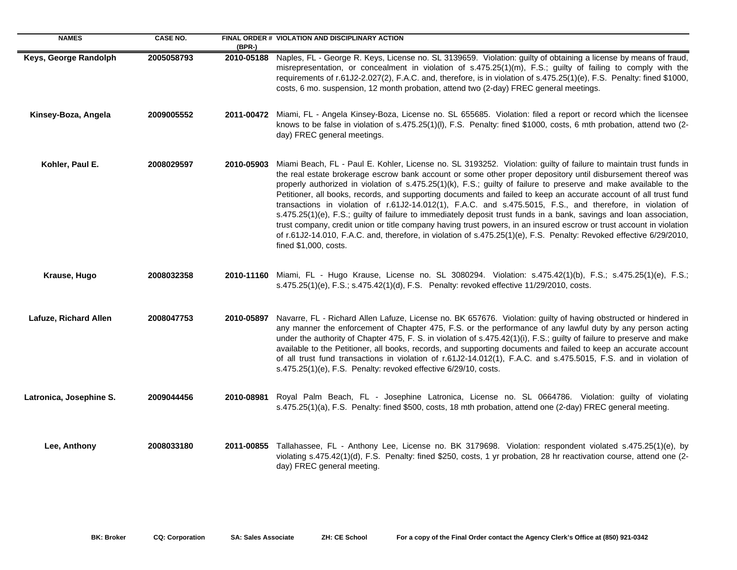| <b>NAMES</b>            | <b>CASE NO.</b> | (BPR-)     | FINAL ORDER # VIOLATION AND DISCIPLINARY ACTION                                                                                                                                                                                                                                                                                                                                                                                                                                                                                                                                                                                                                                                                                                                                                                                                                                                                                                                                          |
|-------------------------|-----------------|------------|------------------------------------------------------------------------------------------------------------------------------------------------------------------------------------------------------------------------------------------------------------------------------------------------------------------------------------------------------------------------------------------------------------------------------------------------------------------------------------------------------------------------------------------------------------------------------------------------------------------------------------------------------------------------------------------------------------------------------------------------------------------------------------------------------------------------------------------------------------------------------------------------------------------------------------------------------------------------------------------|
| Keys, George Randolph   | 2005058793      | 2010-05188 | Naples, FL - George R. Keys, License no. SL 3139659. Violation: guilty of obtaining a license by means of fraud,<br>misrepresentation, or concealment in violation of s.475.25(1)(m), F.S.; guilty of failing to comply with the<br>requirements of r.61J2-2.027(2), F.A.C. and, therefore, is in violation of s.475.25(1)(e), F.S. Penalty: fined \$1000,<br>costs, 6 mo. suspension, 12 month probation, attend two (2-day) FREC general meetings.                                                                                                                                                                                                                                                                                                                                                                                                                                                                                                                                     |
| Kinsey-Boza, Angela     | 2009005552      |            | 2011-00472 Miami, FL - Angela Kinsey-Boza, License no. SL 655685. Violation: filed a report or record which the licensee<br>knows to be false in violation of s.475.25(1)(I), F.S. Penalty: fined \$1000, costs, 6 mth probation, attend two (2-<br>day) FREC general meetings.                                                                                                                                                                                                                                                                                                                                                                                                                                                                                                                                                                                                                                                                                                          |
| Kohler, Paul E.         | 2008029597      | 2010-05903 | Miami Beach, FL - Paul E. Kohler, License no. SL 3193252. Violation: guilty of failure to maintain trust funds in<br>the real estate brokerage escrow bank account or some other proper depository until disbursement thereof was<br>properly authorized in violation of s.475.25(1)(k), F.S.; guilty of failure to preserve and make available to the<br>Petitioner, all books, records, and supporting documents and failed to keep an accurate account of all trust fund<br>transactions in violation of r.61J2-14.012(1), F.A.C. and s.475.5015, F.S., and therefore, in violation of<br>s.475.25(1)(e), F.S.; guilty of failure to immediately deposit trust funds in a bank, savings and loan association,<br>trust company, credit union or title company having trust powers, in an insured escrow or trust account in violation<br>of r.61J2-14.010, F.A.C. and, therefore, in violation of s.475.25(1)(e), F.S. Penalty: Revoked effective 6/29/2010,<br>fined \$1,000, costs. |
| Krause, Hugo            | 2008032358      |            | 2010-11160 Miami, FL - Hugo Krause, License no. SL 3080294. Violation: s.475.42(1)(b), F.S.; s.475.25(1)(e), F.S.;<br>s.475.25(1)(e), F.S.; s.475.42(1)(d), F.S. Penalty: revoked effective 11/29/2010, costs.                                                                                                                                                                                                                                                                                                                                                                                                                                                                                                                                                                                                                                                                                                                                                                           |
| Lafuze, Richard Allen   | 2008047753      | 2010-05897 | Navarre, FL - Richard Allen Lafuze, License no. BK 657676. Violation: guilty of having obstructed or hindered in<br>any manner the enforcement of Chapter 475, F.S. or the performance of any lawful duty by any person acting<br>under the authority of Chapter 475, F. S. in violation of s.475.42(1)(i), F.S.; guilty of failure to preserve and make<br>available to the Petitioner, all books, records, and supporting documents and failed to keep an accurate account<br>of all trust fund transactions in violation of r.61J2-14.012(1), F.A.C. and s.475.5015, F.S. and in violation of<br>s.475.25(1)(e), F.S. Penalty: revoked effective 6/29/10, costs.                                                                                                                                                                                                                                                                                                                      |
| Latronica, Josephine S. | 2009044456      | 2010-08981 | Royal Palm Beach, FL - Josephine Latronica, License no. SL 0664786. Violation: guilty of violating<br>s.475.25(1)(a), F.S. Penalty: fined \$500, costs, 18 mth probation, attend one (2-day) FREC general meeting.                                                                                                                                                                                                                                                                                                                                                                                                                                                                                                                                                                                                                                                                                                                                                                       |
| Lee, Anthony            | 2008033180      |            | 2011-00855 Tallahassee, FL - Anthony Lee, License no. BK 3179698. Violation: respondent violated s.475.25(1)(e), by<br>violating s.475.42(1)(d), F.S. Penalty: fined \$250, costs, 1 yr probation, 28 hr reactivation course, attend one (2-<br>day) FREC general meeting.                                                                                                                                                                                                                                                                                                                                                                                                                                                                                                                                                                                                                                                                                                               |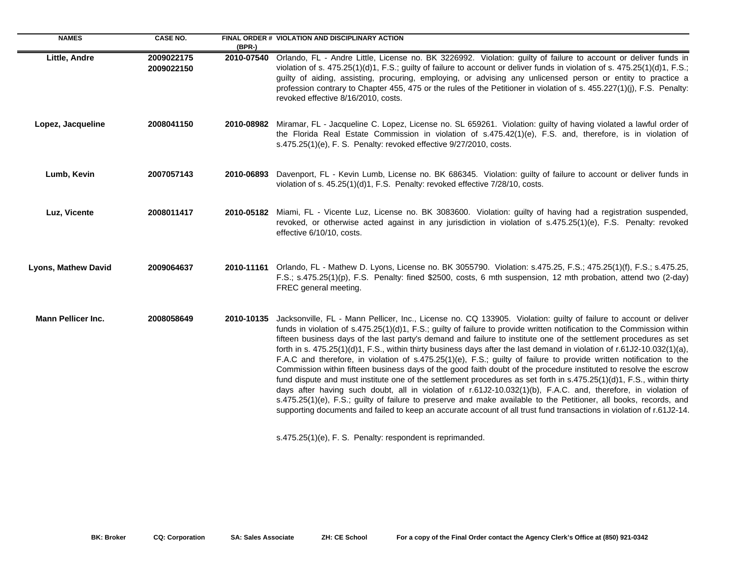| <b>NAMES</b>               | <b>CASE NO.</b>          | $(BPR-)$ | FINAL ORDER # VIOLATION AND DISCIPLINARY ACTION                                                                                                                                                                                                                                                                                                                                                                                                                                                                                                                                                                                                                                                                                                                                                                                                                                                                                                                                                                                                                                                                                                                                                                                                                                                             |
|----------------------------|--------------------------|----------|-------------------------------------------------------------------------------------------------------------------------------------------------------------------------------------------------------------------------------------------------------------------------------------------------------------------------------------------------------------------------------------------------------------------------------------------------------------------------------------------------------------------------------------------------------------------------------------------------------------------------------------------------------------------------------------------------------------------------------------------------------------------------------------------------------------------------------------------------------------------------------------------------------------------------------------------------------------------------------------------------------------------------------------------------------------------------------------------------------------------------------------------------------------------------------------------------------------------------------------------------------------------------------------------------------------|
| Little, Andre              | 2009022175<br>2009022150 |          | 2010-07540 Orlando, FL - Andre Little, License no. BK 3226992. Violation: guilty of failure to account or deliver funds in<br>violation of s. 475.25(1)(d)1, F.S.; guilty of failure to account or deliver funds in violation of s. 475.25(1)(d)1, F.S.;<br>guilty of aiding, assisting, procuring, employing, or advising any unlicensed person or entity to practice a<br>profession contrary to Chapter 455, 475 or the rules of the Petitioner in violation of s. 455.227(1)(j), F.S. Penalty:<br>revoked effective 8/16/2010, costs.                                                                                                                                                                                                                                                                                                                                                                                                                                                                                                                                                                                                                                                                                                                                                                   |
| Lopez, Jacqueline          | 2008041150               |          | 2010-08982 Miramar, FL - Jacqueline C. Lopez, License no. SL 659261. Violation: guilty of having violated a lawful order of<br>the Florida Real Estate Commission in violation of s.475.42(1)(e), F.S. and, therefore, is in violation of<br>s.475.25(1)(e), F. S. Penalty: revoked effective 9/27/2010, costs.                                                                                                                                                                                                                                                                                                                                                                                                                                                                                                                                                                                                                                                                                                                                                                                                                                                                                                                                                                                             |
| Lumb, Kevin                | 2007057143               |          | 2010-06893 Davenport, FL - Kevin Lumb, License no. BK 686345. Violation: guilty of failure to account or deliver funds in<br>violation of s. 45.25(1)(d)1, F.S. Penalty: revoked effective 7/28/10, costs.                                                                                                                                                                                                                                                                                                                                                                                                                                                                                                                                                                                                                                                                                                                                                                                                                                                                                                                                                                                                                                                                                                  |
| Luz, Vicente               | 2008011417               |          | 2010-05182 Miami, FL - Vicente Luz, License no. BK 3083600. Violation: guilty of having had a registration suspended,<br>revoked, or otherwise acted against in any jurisdiction in violation of s.475.25(1)(e), F.S. Penalty: revoked<br>effective 6/10/10, costs.                                                                                                                                                                                                                                                                                                                                                                                                                                                                                                                                                                                                                                                                                                                                                                                                                                                                                                                                                                                                                                         |
| <b>Lyons, Mathew David</b> | 2009064637               |          | 2010-11161 Orlando, FL - Mathew D. Lyons, License no. BK 3055790. Violation: s.475.25, F.S.; 475.25(1)(f), F.S.; s.475.25,<br>F.S.; s.475.25(1)(p), F.S. Penalty: fined \$2500, costs, 6 mth suspension, 12 mth probation, attend two (2-day)<br>FREC general meeting.                                                                                                                                                                                                                                                                                                                                                                                                                                                                                                                                                                                                                                                                                                                                                                                                                                                                                                                                                                                                                                      |
| <b>Mann Pellicer Inc.</b>  | 2008058649               |          | 2010-10135 Jacksonville, FL - Mann Pellicer, Inc., License no. CQ 133905. Violation: guilty of failure to account or deliver<br>funds in violation of s.475.25(1)(d)1, F.S.; guilty of failure to provide written notification to the Commission within<br>fifteen business days of the last party's demand and failure to institute one of the settlement procedures as set<br>forth in s. $475.25(1)(d)1$ , F.S., within thirty business days after the last demand in violation of r.61J2-10.032(1)(a),<br>F.A.C and therefore, in violation of s.475.25(1)(e), F.S.; guilty of failure to provide written notification to the<br>Commission within fifteen business days of the good faith doubt of the procedure instituted to resolve the escrow<br>fund dispute and must institute one of the settlement procedures as set forth in s.475.25(1)(d)1, F.S., within thirty<br>days after having such doubt, all in violation of r.61J2-10.032(1)(b), F.A.C. and, therefore, in violation of<br>s.475.25(1)(e), F.S.; guilty of failure to preserve and make available to the Petitioner, all books, records, and<br>supporting documents and failed to keep an accurate account of all trust fund transactions in violation of r.61J2-14.<br>s.475.25(1)(e), F. S. Penalty: respondent is reprimanded. |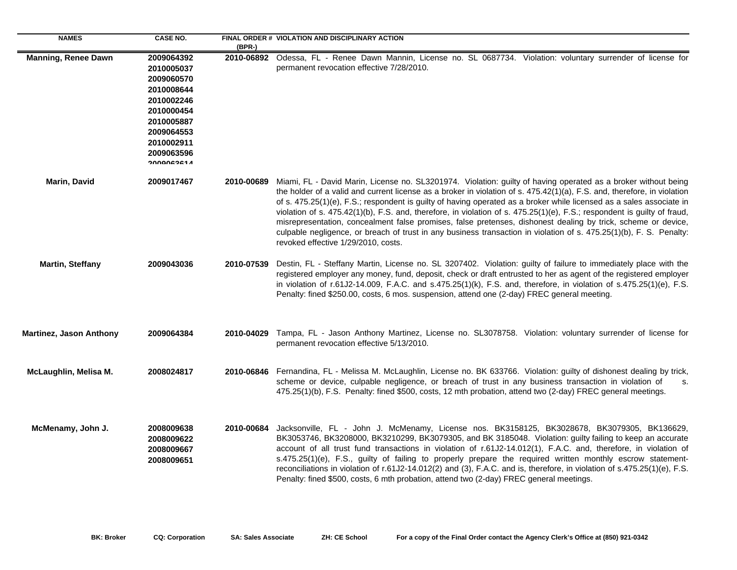| <b>NAMES</b>                   | <b>CASE NO.</b>                                                                                                                                               | $(BPR-)$   | FINAL ORDER # VIOLATION AND DISCIPLINARY ACTION                                                                                                                                                                                                                                                                                                                                                                                                                                                                                                                                                                                                                                                                                                                               |
|--------------------------------|---------------------------------------------------------------------------------------------------------------------------------------------------------------|------------|-------------------------------------------------------------------------------------------------------------------------------------------------------------------------------------------------------------------------------------------------------------------------------------------------------------------------------------------------------------------------------------------------------------------------------------------------------------------------------------------------------------------------------------------------------------------------------------------------------------------------------------------------------------------------------------------------------------------------------------------------------------------------------|
| <b>Manning, Renee Dawn</b>     | 2009064392<br>2010005037<br>2009060570<br>2010008644<br>2010002246<br>2010000454<br>2010005887<br>2009064553<br>2010002911<br>2009063596<br><b>A PACAMONG</b> |            | 2010-06892 Odessa, FL - Renee Dawn Mannin, License no. SL 0687734. Violation: voluntary surrender of license for<br>permanent revocation effective 7/28/2010.                                                                                                                                                                                                                                                                                                                                                                                                                                                                                                                                                                                                                 |
| Marin, David                   | 2009017467                                                                                                                                                    | 2010-00689 | Miami, FL - David Marin, License no. SL3201974. Violation: guilty of having operated as a broker without being<br>the holder of a valid and current license as a broker in violation of s. 475.42(1)(a), F.S. and, therefore, in violation<br>of s. 475.25(1)(e), F.S.; respondent is guilty of having operated as a broker while licensed as a sales associate in<br>violation of s. 475.42(1)(b), F.S. and, therefore, in violation of s. 475.25(1)(e), F.S.; respondent is guilty of fraud,<br>misrepresentation, concealment false promises, false pretenses, dishonest dealing by trick, scheme or device,<br>culpable negligence, or breach of trust in any business transaction in violation of s. 475.25(1)(b), F. S. Penalty:<br>revoked effective 1/29/2010, costs. |
| Martin, Steffany               | 2009043036                                                                                                                                                    | 2010-07539 | Destin, FL - Steffany Martin, License no. SL 3207402. Violation: guilty of failure to immediately place with the<br>registered employer any money, fund, deposit, check or draft entrusted to her as agent of the registered employer<br>in violation of r.61J2-14.009, F.A.C. and s.475.25(1)(k), F.S. and, therefore, in violation of s.475.25(1)(e), F.S.<br>Penalty: fined \$250.00, costs, 6 mos. suspension, attend one (2-day) FREC general meeting.                                                                                                                                                                                                                                                                                                                   |
| <b>Martinez, Jason Anthony</b> | 2009064384                                                                                                                                                    | 2010-04029 | Tampa, FL - Jason Anthony Martinez, License no. SL3078758. Violation: voluntary surrender of license for<br>permanent revocation effective 5/13/2010.                                                                                                                                                                                                                                                                                                                                                                                                                                                                                                                                                                                                                         |
| McLaughlin, Melisa M.          | 2008024817                                                                                                                                                    | 2010-06846 | Fernandina, FL - Melissa M. McLaughlin, License no. BK 633766. Violation: guilty of dishonest dealing by trick,<br>scheme or device, culpable negligence, or breach of trust in any business transaction in violation of<br>S.<br>475.25(1)(b), F.S. Penalty: fined \$500, costs, 12 mth probation, attend two (2-day) FREC general meetings.                                                                                                                                                                                                                                                                                                                                                                                                                                 |
| McMenamy, John J.              | 2008009638<br>2008009622<br>2008009667<br>2008009651                                                                                                          | 2010-00684 | Jacksonville, FL - John J. McMenamy, License nos. BK3158125, BK3028678, BK3079305, BK136629,<br>BK3053746, BK3208000, BK3210299, BK3079305, and BK 3185048. Violation: guilty failing to keep an accurate<br>account of all trust fund transactions in violation of r.61J2-14.012(1), F.A.C. and, therefore, in violation of<br>s.475.25(1)(e), F.S., guilty of failing to properly prepare the required written monthly escrow statement-<br>reconciliations in violation of r.61J2-14.012(2) and (3), F.A.C. and is, therefore, in violation of s.475.25(1)(e), F.S.<br>Penalty: fined \$500, costs, 6 mth probation, attend two (2-day) FREC general meetings.                                                                                                             |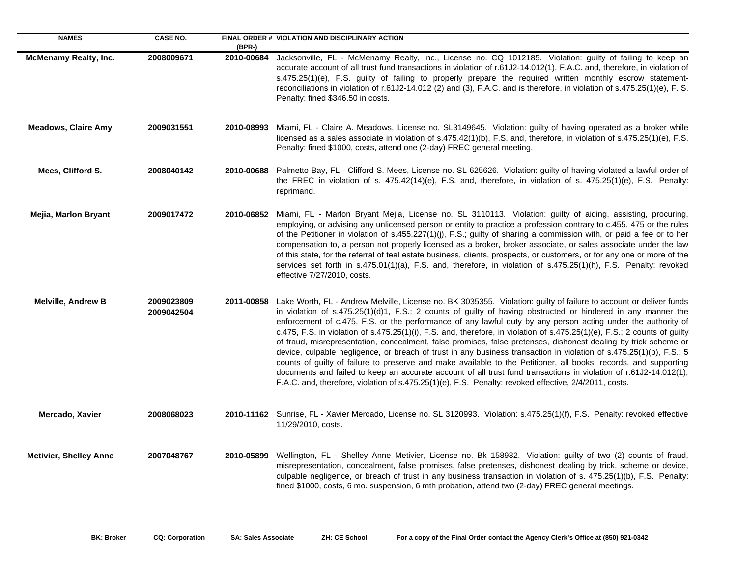| <b>NAMES</b>                  | <b>CASE NO.</b>          | (BPR-)     | FINAL ORDER # VIOLATION AND DISCIPLINARY ACTION                                                                                                                                                                                                                                                                                                                                                                                                                                                                                                                                                                                                                                                                                                                                                                                                                                                                                                                                                                                                                             |
|-------------------------------|--------------------------|------------|-----------------------------------------------------------------------------------------------------------------------------------------------------------------------------------------------------------------------------------------------------------------------------------------------------------------------------------------------------------------------------------------------------------------------------------------------------------------------------------------------------------------------------------------------------------------------------------------------------------------------------------------------------------------------------------------------------------------------------------------------------------------------------------------------------------------------------------------------------------------------------------------------------------------------------------------------------------------------------------------------------------------------------------------------------------------------------|
| <b>McMenamy Realty, Inc.</b>  | 2008009671               | 2010-00684 | Jacksonville, FL - McMenamy Realty, Inc., License no. CQ 1012185. Violation: guilty of failing to keep an<br>accurate account of all trust fund transactions in violation of r.61J2-14.012(1), F.A.C. and, therefore, in violation of<br>s.475.25(1)(e), F.S. guilty of failing to properly prepare the required written monthly escrow statement-<br>reconciliations in violation of r.61J2-14.012 (2) and (3), F.A.C. and is therefore, in violation of s.475.25(1)(e), F. S.<br>Penalty: fined \$346.50 in costs.                                                                                                                                                                                                                                                                                                                                                                                                                                                                                                                                                        |
| <b>Meadows, Claire Amy</b>    | 2009031551               | 2010-08993 | Miami, FL - Claire A. Meadows, License no. SL3149645. Violation: guilty of having operated as a broker while<br>licensed as a sales associate in violation of s.475.42(1)(b), F.S. and, therefore, in violation of s.475.25(1)(e), F.S.<br>Penalty: fined \$1000, costs, attend one (2-day) FREC general meeting.                                                                                                                                                                                                                                                                                                                                                                                                                                                                                                                                                                                                                                                                                                                                                           |
| Mees, Clifford S.             | 2008040142               | 2010-00688 | Palmetto Bay, FL - Clifford S. Mees, License no. SL 625626. Violation: guilty of having violated a lawful order of<br>the FREC in violation of s. 475.42(14)(e), F.S. and, therefore, in violation of s. 475.25(1)(e), F.S. Penalty:<br>reprimand.                                                                                                                                                                                                                                                                                                                                                                                                                                                                                                                                                                                                                                                                                                                                                                                                                          |
| Mejia, Marlon Bryant          | 2009017472               | 2010-06852 | Miami, FL - Marlon Bryant Mejia, License no. SL 3110113. Violation: guilty of aiding, assisting, procuring,<br>employing, or advising any unlicensed person or entity to practice a profession contrary to c.455, 475 or the rules<br>of the Petitioner in violation of s.455.227(1)(j), F.S.; guilty of sharing a commission with, or paid a fee or to her<br>compensation to, a person not properly licensed as a broker, broker associate, or sales associate under the law<br>of this state, for the referral of teal estate business, clients, prospects, or customers, or for any one or more of the<br>services set forth in s.475.01(1)(a), F.S. and, therefore, in violation of s.475.25(1)(h), F.S. Penalty: revoked<br>effective 7/27/2010, costs.                                                                                                                                                                                                                                                                                                               |
| <b>Melville, Andrew B</b>     | 2009023809<br>2009042504 | 2011-00858 | Lake Worth, FL - Andrew Melville, License no. BK 3035355. Violation: guilty of failure to account or deliver funds<br>in violation of s.475.25(1)(d)1, F.S.; 2 counts of guilty of having obstructed or hindered in any manner the<br>enforcement of c.475, F.S. or the performance of any lawful duty by any person acting under the authority of<br>c.475, F.S. in violation of s.475.25(1)(i), F.S. and, therefore, in violation of s.475.25(1)(e), F.S.; 2 counts of guilty<br>of fraud, misrepresentation, concealment, false promises, false pretenses, dishonest dealing by trick scheme or<br>device, culpable negligence, or breach of trust in any business transaction in violation of s.475.25(1)(b), F.S.; 5<br>counts of guilty of failure to preserve and make available to the Petitioner, all books, records, and supporting<br>documents and failed to keep an accurate account of all trust fund transactions in violation of r.61J2-14.012(1),<br>F.A.C. and, therefore, violation of s.475.25(1)(e), F.S. Penalty: revoked effective, 2/4/2011, costs. |
| Mercado, Xavier               | 2008068023               |            | 2010-11162 Sunrise, FL - Xavier Mercado, License no. SL 3120993. Violation: s.475.25(1)(f), F.S. Penalty: revoked effective<br>11/29/2010, costs.                                                                                                                                                                                                                                                                                                                                                                                                                                                                                                                                                                                                                                                                                                                                                                                                                                                                                                                           |
| <b>Metivier, Shelley Anne</b> | 2007048767               | 2010-05899 | Wellington, FL - Shelley Anne Metivier, License no. Bk 158932. Violation: guilty of two (2) counts of fraud,<br>misrepresentation, concealment, false promises, false pretenses, dishonest dealing by trick, scheme or device,<br>culpable negligence, or breach of trust in any business transaction in violation of s. 475.25(1)(b), F.S. Penalty:<br>fined \$1000, costs, 6 mo. suspension, 6 mth probation, attend two (2-day) FREC general meetings.                                                                                                                                                                                                                                                                                                                                                                                                                                                                                                                                                                                                                   |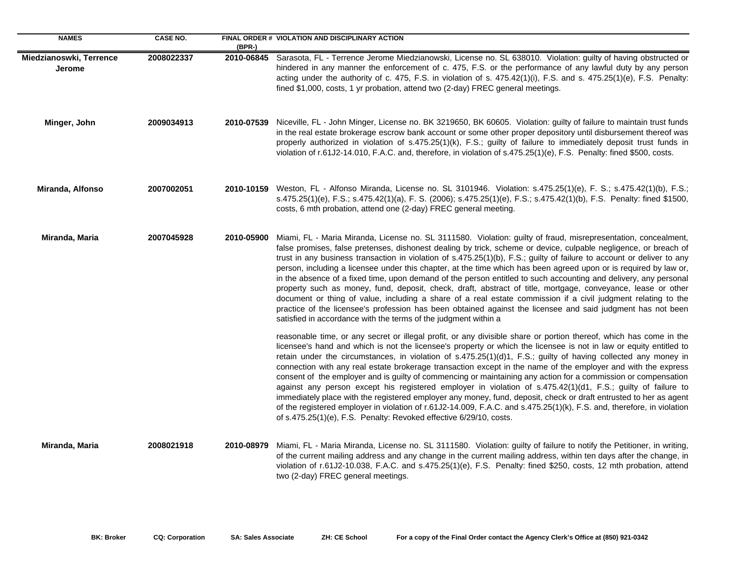| <b>NAMES</b>                             | <b>CASE NO.</b> | (BPR-)     | FINAL ORDER # VIOLATION AND DISCIPLINARY ACTION                                                                                                                                                                                                                                                                                                                                                                                                                                                                                                                                                                                                                                                                                                                                                                                                                                                                                                                                                                                    |
|------------------------------------------|-----------------|------------|------------------------------------------------------------------------------------------------------------------------------------------------------------------------------------------------------------------------------------------------------------------------------------------------------------------------------------------------------------------------------------------------------------------------------------------------------------------------------------------------------------------------------------------------------------------------------------------------------------------------------------------------------------------------------------------------------------------------------------------------------------------------------------------------------------------------------------------------------------------------------------------------------------------------------------------------------------------------------------------------------------------------------------|
| Miedzianoswki, Terrence<br><b>Jerome</b> | 2008022337      | 2010-06845 | Sarasota, FL - Terrence Jerome Miedzianowski, License no. SL 638010. Violation: guilty of having obstructed or<br>hindered in any manner the enforcement of c. 475, F.S. or the performance of any lawful duty by any person<br>acting under the authority of c. 475, F.S. in violation of s. 475.42(1)(i), F.S. and s. 475.25(1)(e), F.S. Penalty:<br>fined \$1,000, costs, 1 yr probation, attend two (2-day) FREC general meetings.                                                                                                                                                                                                                                                                                                                                                                                                                                                                                                                                                                                             |
| Minger, John                             | 2009034913      |            | 2010-07539 Niceville, FL - John Minger, License no. BK 3219650, BK 60605. Violation: guilty of failure to maintain trust funds<br>in the real estate brokerage escrow bank account or some other proper depository until disbursement thereof was<br>properly authorized in violation of s.475.25(1)(k), F.S.; guilty of failure to immediately deposit trust funds in<br>violation of r.61J2-14.010, F.A.C. and, therefore, in violation of s.475.25(1)(e), F.S. Penalty: fined \$500, costs.                                                                                                                                                                                                                                                                                                                                                                                                                                                                                                                                     |
| Miranda, Alfonso                         | 2007002051      |            | 2010-10159 Weston, FL - Alfonso Miranda, License no. SL 3101946. Violation: s.475.25(1)(e), F. S.; s.475.42(1)(b), F.S.;<br>s.475.25(1)(e), F.S.; s.475.42(1)(a), F. S. (2006); s.475.25(1)(e), F.S.; s.475.42(1)(b), F.S. Penalty: fined \$1500,<br>costs, 6 mth probation, attend one (2-day) FREC general meeting.                                                                                                                                                                                                                                                                                                                                                                                                                                                                                                                                                                                                                                                                                                              |
| Miranda, Maria                           | 2007045928      | 2010-05900 | Miami, FL - Maria Miranda, License no. SL 3111580. Violation: guilty of fraud, misrepresentation, concealment,<br>false promises, false pretenses, dishonest dealing by trick, scheme or device, culpable negligence, or breach of<br>trust in any business transaction in violation of s.475.25(1)(b), F.S.; guilty of failure to account or deliver to any<br>person, including a licensee under this chapter, at the time which has been agreed upon or is required by law or,<br>in the absence of a fixed time, upon demand of the person entitled to such accounting and delivery, any personal<br>property such as money, fund, deposit, check, draft, abstract of title, mortgage, conveyance, lease or other<br>document or thing of value, including a share of a real estate commission if a civil judgment relating to the<br>practice of the licensee's profession has been obtained against the licensee and said judgment has not been<br>satisfied in accordance with the terms of the judgment within a           |
|                                          |                 |            | reasonable time, or any secret or illegal profit, or any divisible share or portion thereof, which has come in the<br>licensee's hand and which is not the licensee's property or which the licensee is not in law or equity entitled to<br>retain under the circumstances, in violation of s.475.25(1)(d)1, F.S.; guilty of having collected any money in<br>connection with any real estate brokerage transaction except in the name of the employer and with the express<br>consent of the employer and is guilty of commencing or maintaining any action for a commission or compensation<br>against any person except his registered employer in violation of s.475.42(1)(d1, F.S.; guilty of failure to<br>immediately place with the registered employer any money, fund, deposit, check or draft entrusted to her as agent<br>of the registered employer in violation of r.61J2-14.009, F.A.C. and s.475.25(1)(k), F.S. and, therefore, in violation<br>of s.475.25(1)(e), F.S. Penalty: Revoked effective 6/29/10, costs. |
| Miranda, Maria                           | 2008021918      | 2010-08979 | Miami, FL - Maria Miranda, License no. SL 3111580. Violation: guilty of failure to notify the Petitioner, in writing,<br>of the current mailing address and any change in the current mailing address, within ten days after the change, in<br>violation of r.61J2-10.038, F.A.C. and s.475.25(1)(e), F.S. Penalty: fined \$250, costs, 12 mth probation, attend<br>two (2-day) FREC general meetings.                                                                                                                                                                                                                                                                                                                                                                                                                                                                                                                                                                                                                             |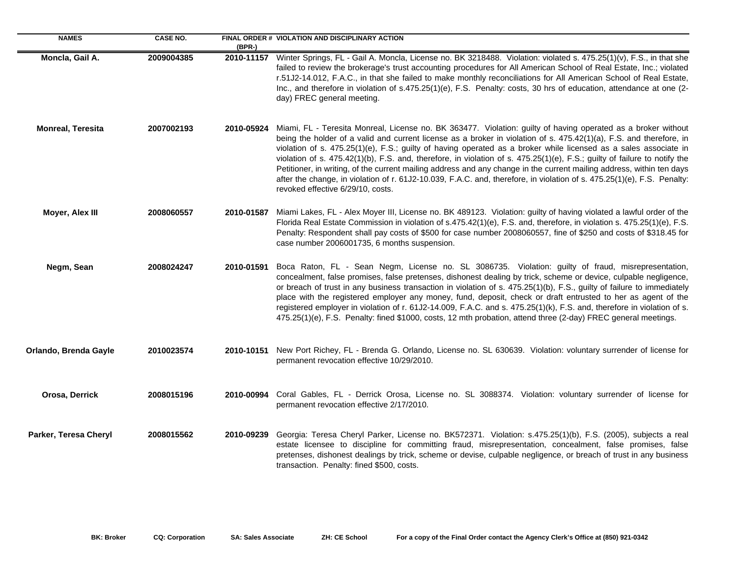| <b>NAMES</b>             | <b>CASE NO.</b> | $(BPR-)$   | FINAL ORDER # VIOLATION AND DISCIPLINARY ACTION                                                                                                                                                                                                                                                                                                                                                                                                                                                                                                                                                                                                                                                                                                                                |
|--------------------------|-----------------|------------|--------------------------------------------------------------------------------------------------------------------------------------------------------------------------------------------------------------------------------------------------------------------------------------------------------------------------------------------------------------------------------------------------------------------------------------------------------------------------------------------------------------------------------------------------------------------------------------------------------------------------------------------------------------------------------------------------------------------------------------------------------------------------------|
| Moncla, Gail A.          | 2009004385      | 2010-11157 | Winter Springs, FL - Gail A. Moncla, License no. BK 3218488. Violation: violated s. 475.25(1)(v), F.S., in that she<br>failed to review the brokerage's trust accounting procedures for All American School of Real Estate, Inc.; violated<br>r.51J2-14.012, F.A.C., in that she failed to make monthly reconciliations for All American School of Real Estate,<br>Inc., and therefore in violation of s.475.25(1)(e), F.S. Penalty: costs, 30 hrs of education, attendance at one (2-<br>day) FREC general meeting.                                                                                                                                                                                                                                                           |
| <b>Monreal, Teresita</b> | 2007002193      | 2010-05924 | Miami, FL - Teresita Monreal, License no. BK 363477. Violation: guilty of having operated as a broker without<br>being the holder of a valid and current license as a broker in violation of s. 475.42(1)(a), F.S. and therefore, in<br>violation of s. 475.25(1)(e), F.S.; guilty of having operated as a broker while licensed as a sales associate in<br>violation of s. 475.42(1)(b), F.S. and, therefore, in violation of s. 475.25(1)(e), F.S.; guilty of failure to notify the<br>Petitioner, in writing, of the current mailing address and any change in the current mailing address, within ten days<br>after the change, in violation of r. 61J2-10.039, F.A.C. and, therefore, in violation of s. 475.25(1)(e), F.S. Penalty:<br>revoked effective 6/29/10, costs. |
| Moyer, Alex III          | 2008060557      | 2010-01587 | Miami Lakes, FL - Alex Moyer III, License no. BK 489123. Violation: guilty of having violated a lawful order of the<br>Florida Real Estate Commission in violation of s.475.42(1)(e), F.S. and, therefore, in violation s. 475.25(1)(e), F.S.<br>Penalty: Respondent shall pay costs of \$500 for case number 2008060557, fine of \$250 and costs of \$318.45 for<br>case number 2006001735, 6 months suspension.                                                                                                                                                                                                                                                                                                                                                              |
| Negm, Sean               | 2008024247      | 2010-01591 | Boca Raton, FL - Sean Negm, License no. SL 3086735. Violation: guilty of fraud, misrepresentation,<br>concealment, false promises, false pretenses, dishonest dealing by trick, scheme or device, culpable negligence,<br>or breach of trust in any business transaction in violation of s. 475.25(1)(b), F.S., guilty of failure to immediately<br>place with the registered employer any money, fund, deposit, check or draft entrusted to her as agent of the<br>registered employer in violation of r. 61J2-14.009, F.A.C. and s. 475.25(1)(k), F.S. and, therefore in violation of s.<br>475.25(1)(e), F.S. Penalty: fined \$1000, costs, 12 mth probation, attend three (2-day) FREC general meetings.                                                                   |
| Orlando, Brenda Gayle    | 2010023574      |            | 2010-10151 New Port Richey, FL - Brenda G. Orlando, License no. SL 630639. Violation: voluntary surrender of license for<br>permanent revocation effective 10/29/2010.                                                                                                                                                                                                                                                                                                                                                                                                                                                                                                                                                                                                         |
| Orosa, Derrick           | 2008015196      | 2010-00994 | Coral Gables, FL - Derrick Orosa, License no. SL 3088374. Violation: voluntary surrender of license for<br>permanent revocation effective 2/17/2010.                                                                                                                                                                                                                                                                                                                                                                                                                                                                                                                                                                                                                           |
| Parker, Teresa Cheryl    | 2008015562      | 2010-09239 | Georgia: Teresa Cheryl Parker, License no. BK572371. Violation: s.475.25(1)(b), F.S. (2005), subjects a real<br>estate licensee to discipline for committing fraud, misrepresentation, concealment, false promises, false<br>pretenses, dishonest dealings by trick, scheme or devise, culpable negligence, or breach of trust in any business<br>transaction. Penalty: fined \$500, costs.                                                                                                                                                                                                                                                                                                                                                                                    |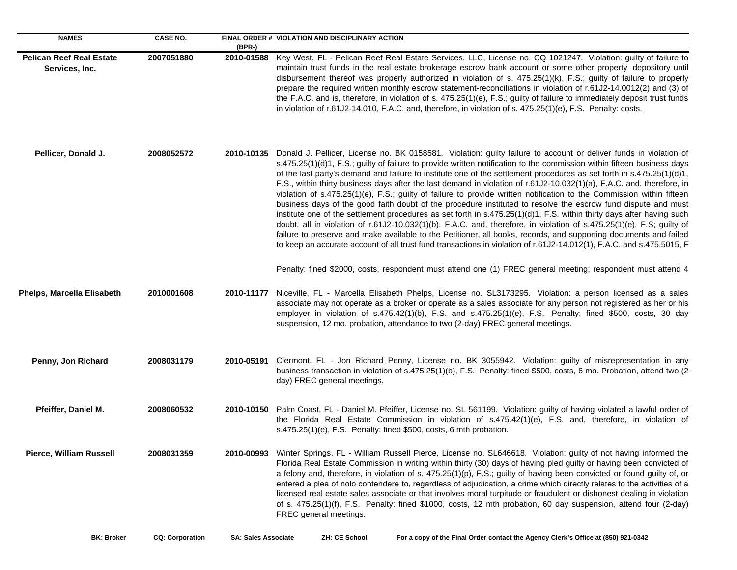| <b>NAMES</b>                                      | <b>CASE NO.</b> | $(BPR-)$   | FINAL ORDER # VIOLATION AND DISCIPLINARY ACTION                                                                                                                                                                                                                                                                                                                                                                                                                                                                                                                                                                                                                                                                                                                                                                                                                                                                                                                                                                                                                                                                                                                                                                                                      |
|---------------------------------------------------|-----------------|------------|------------------------------------------------------------------------------------------------------------------------------------------------------------------------------------------------------------------------------------------------------------------------------------------------------------------------------------------------------------------------------------------------------------------------------------------------------------------------------------------------------------------------------------------------------------------------------------------------------------------------------------------------------------------------------------------------------------------------------------------------------------------------------------------------------------------------------------------------------------------------------------------------------------------------------------------------------------------------------------------------------------------------------------------------------------------------------------------------------------------------------------------------------------------------------------------------------------------------------------------------------|
| <b>Pelican Reef Real Estate</b><br>Services, Inc. | 2007051880      | 2010-01588 | Key West, FL - Pelican Reef Real Estate Services, LLC, License no. CQ 1021247. Violation: guilty of failure to<br>maintain trust funds in the real estate brokerage escrow bank account or some other property depository until<br>disbursement thereof was properly authorized in violation of s. 475.25(1)(k), F.S.; guilty of failure to properly<br>prepare the required written monthly escrow statement-reconciliations in violation of r.61J2-14.0012(2) and (3) of<br>the F.A.C. and is, therefore, in violation of s. 475.25(1)(e), F.S.; guilty of failure to immediately deposit trust funds<br>in violation of r.61J2-14.010, F.A.C. and, therefore, in violation of s. 475.25(1)(e), F.S. Penalty: costs.                                                                                                                                                                                                                                                                                                                                                                                                                                                                                                                               |
| Pellicer, Donald J.                               | 2008052572      |            | 2010-10135 Donald J. Pellicer, License no. BK 0158581. Violation: guilty failure to account or deliver funds in violation of<br>s.475.25(1)(d)1, F.S.; guilty of failure to provide written notification to the commission within fifteen business days<br>of the last party's demand and failure to institute one of the settlement procedures as set forth in s.475.25(1)(d)1,<br>F.S., within thirty business days after the last demand in violation of r.61J2-10.032(1)(a), F.A.C. and, therefore, in<br>violation of s.475.25(1)(e), F.S.; guilty of failure to provide written notification to the Commission within fifteen<br>business days of the good faith doubt of the procedure instituted to resolve the escrow fund dispute and must<br>institute one of the settlement procedures as set forth in s.475.25(1)(d)1, F.S. within thirty days after having such<br>doubt, all in violation of r.61J2-10.032(1)(b), F.A.C. and, therefore, in violation of s.475.25(1)(e), F.S; guilty of<br>failure to preserve and make available to the Petitioner, all books, records, and supporting documents and failed<br>to keep an accurate account of all trust fund transactions in violation of r.61J2-14.012(1), F.A.C. and s.475.5015, F |
|                                                   |                 |            | Penalty: fined \$2000, costs, respondent must attend one (1) FREC general meeting; respondent must attend 4                                                                                                                                                                                                                                                                                                                                                                                                                                                                                                                                                                                                                                                                                                                                                                                                                                                                                                                                                                                                                                                                                                                                          |
| Phelps, Marcella Elisabeth                        | 2010001608      | 2010-11177 | Niceville, FL - Marcella Elisabeth Phelps, License no. SL3173295. Violation: a person licensed as a sales<br>associate may not operate as a broker or operate as a sales associate for any person not registered as her or his<br>employer in violation of s.475.42(1)(b), F.S. and s.475.25(1)(e), F.S. Penalty: fined \$500, costs, 30 day<br>suspension, 12 mo. probation, attendance to two (2-day) FREC general meetings.                                                                                                                                                                                                                                                                                                                                                                                                                                                                                                                                                                                                                                                                                                                                                                                                                       |
| Penny, Jon Richard                                | 2008031179      |            | 2010-05191 Clermont, FL - Jon Richard Penny, License no. BK 3055942. Violation: guilty of misrepresentation in any<br>business transaction in violation of s.475.25(1)(b), F.S. Penalty: fined \$500, costs, 6 mo. Probation, attend two (2<br>day) FREC general meetings.                                                                                                                                                                                                                                                                                                                                                                                                                                                                                                                                                                                                                                                                                                                                                                                                                                                                                                                                                                           |
| Pfeiffer, Daniel M.                               | 2008060532      |            | 2010-10150 Palm Coast, FL - Daniel M. Pfeiffer, License no. SL 561199. Violation: guilty of having violated a lawful order of<br>the Florida Real Estate Commission in violation of s.475.42(1)(e), F.S. and, therefore, in violation of<br>s.475.25(1)(e), F.S. Penalty: fined \$500, costs, 6 mth probation.                                                                                                                                                                                                                                                                                                                                                                                                                                                                                                                                                                                                                                                                                                                                                                                                                                                                                                                                       |
| Pierce, William Russell                           | 2008031359      | 2010-00993 | Winter Springs, FL - William Russell Pierce, License no. SL646618. Violation: guilty of not having informed the<br>Florida Real Estate Commission in writing within thirty (30) days of having pled guilty or having been convicted of<br>a felony and, therefore, in violation of s. 475.25(1)(p), F.S.; guilty of having been convicted or found guilty of, or<br>entered a plea of nolo contendere to, regardless of adjudication, a crime which directly relates to the activities of a<br>licensed real estate sales associate or that involves moral turpitude or fraudulent or dishonest dealing in violation<br>of s. 475.25(1)(f), F.S. Penalty: fined \$1000, costs, 12 mth probation, 60 day suspension, attend four (2-day)<br>FREC general meetings.                                                                                                                                                                                                                                                                                                                                                                                                                                                                                    |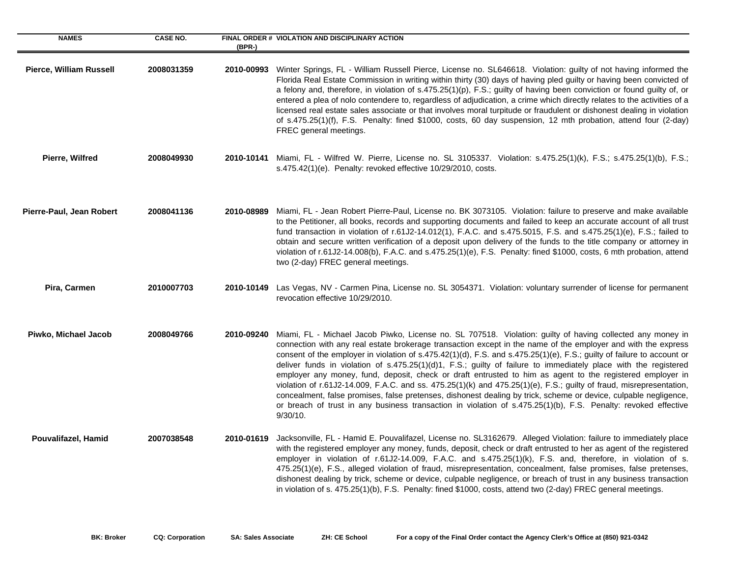| <b>NAMES</b>             | <b>CASE NO.</b> | $(BPR-)$   | FINAL ORDER # VIOLATION AND DISCIPLINARY ACTION                                                                                                                                                                                                                                                                                                                                                                                                                                                                                                                                                                                                                                                                                                                                                                                                                                                                                                                   |
|--------------------------|-----------------|------------|-------------------------------------------------------------------------------------------------------------------------------------------------------------------------------------------------------------------------------------------------------------------------------------------------------------------------------------------------------------------------------------------------------------------------------------------------------------------------------------------------------------------------------------------------------------------------------------------------------------------------------------------------------------------------------------------------------------------------------------------------------------------------------------------------------------------------------------------------------------------------------------------------------------------------------------------------------------------|
| Pierce, William Russell  | 2008031359      | 2010-00993 | Winter Springs, FL - William Russell Pierce, License no. SL646618. Violation: guilty of not having informed the<br>Florida Real Estate Commission in writing within thirty (30) days of having pled guilty or having been convicted of<br>a felony and, therefore, in violation of s.475.25(1)(p), F.S.; guilty of having been conviction or found guilty of, or<br>entered a plea of nolo contendere to, regardless of adjudication, a crime which directly relates to the activities of a<br>licensed real estate sales associate or that involves moral turpitude or fraudulent or dishonest dealing in violation<br>of s.475.25(1)(f), F.S. Penalty: fined \$1000, costs, 60 day suspension, 12 mth probation, attend four (2-day)<br>FREC general meetings.                                                                                                                                                                                                  |
| Pierre, Wilfred          | 2008049930      |            | 2010-10141 Miami, FL - Wilfred W. Pierre, License no. SL 3105337. Violation: s.475.25(1)(k), F.S.; s.475.25(1)(b), F.S.;<br>s.475.42(1)(e). Penalty: revoked effective $10/29/2010$ , costs.                                                                                                                                                                                                                                                                                                                                                                                                                                                                                                                                                                                                                                                                                                                                                                      |
| Pierre-Paul, Jean Robert | 2008041136      | 2010-08989 | Miami, FL - Jean Robert Pierre-Paul, License no. BK 3073105. Violation: failure to preserve and make available<br>to the Petitioner, all books, records and supporting documents and failed to keep an accurate account of all trust<br>fund transaction in violation of r.61J2-14.012(1), F.A.C. and s.475.5015, F.S. and s.475.25(1)(e), F.S.; failed to<br>obtain and secure written verification of a deposit upon delivery of the funds to the title company or attorney in<br>violation of r.61J2-14.008(b), F.A.C. and s.475.25(1)(e), F.S. Penalty: fined \$1000, costs, 6 mth probation, attend<br>two (2-day) FREC general meetings.                                                                                                                                                                                                                                                                                                                    |
| Pira, Carmen             | 2010007703      | 2010-10149 | Las Vegas, NV - Carmen Pina, License no. SL 3054371. Violation: voluntary surrender of license for permanent<br>revocation effective 10/29/2010.                                                                                                                                                                                                                                                                                                                                                                                                                                                                                                                                                                                                                                                                                                                                                                                                                  |
| Piwko, Michael Jacob     | 2008049766      | 2010-09240 | Miami, FL - Michael Jacob Piwko, License no. SL 707518. Violation: guilty of having collected any money in<br>connection with any real estate brokerage transaction except in the name of the employer and with the express<br>consent of the employer in violation of s.475.42(1)(d), F.S. and s.475.25(1)(e), F.S.; guilty of failure to account or<br>deliver funds in violation of s.475.25(1)(d)1, F.S.; guilty of failure to immediately place with the registered<br>employer any money, fund, deposit, check or draft entrusted to him as agent to the registered employer in<br>violation of r.61J2-14.009, F.A.C. and ss. 475.25(1)(k) and 475.25(1)(e), F.S.; guilty of fraud, misrepresentation,<br>concealment, false promises, false pretenses, dishonest dealing by trick, scheme or device, culpable negligence,<br>or breach of trust in any business transaction in violation of s.475.25(1)(b), F.S. Penalty: revoked effective<br>$9/30/10$ . |
| Pouvalifazel, Hamid      | 2007038548      | 2010-01619 | Jacksonville, FL - Hamid E. Pouvalifazel, License no. SL3162679. Alleged Violation: failure to immediately place<br>with the registered employer any money, funds, deposit, check or draft entrusted to her as agent of the registered<br>employer in violation of r.61J2-14.009, F.A.C. and s.475.25(1)(k), F.S. and, therefore, in violation of s.<br>475.25(1)(e), F.S., alleged violation of fraud, misrepresentation, concealment, false promises, false pretenses,<br>dishonest dealing by trick, scheme or device, culpable negligence, or breach of trust in any business transaction<br>in violation of s. 475.25(1)(b), F.S. Penalty: fined \$1000, costs, attend two (2-day) FREC general meetings.                                                                                                                                                                                                                                                    |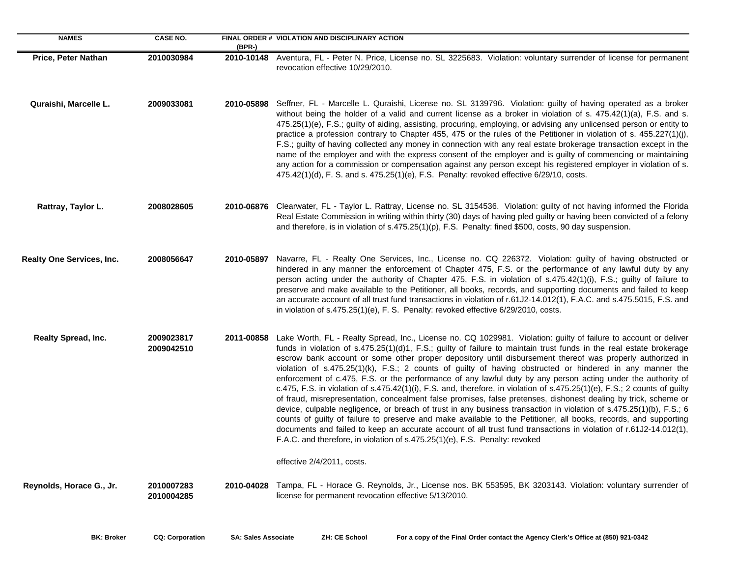| <b>NAMES</b>                     | <b>CASE NO.</b>          | $(BPR-)$   | FINAL ORDER # VIOLATION AND DISCIPLINARY ACTION                                                                                                                                                                                                                                                                                                                                                                                                                                                                                                                                                                                                                                                                                                                                                                                                                                                                                                                                                                                                                                                                                                                                                                                                                                 |
|----------------------------------|--------------------------|------------|---------------------------------------------------------------------------------------------------------------------------------------------------------------------------------------------------------------------------------------------------------------------------------------------------------------------------------------------------------------------------------------------------------------------------------------------------------------------------------------------------------------------------------------------------------------------------------------------------------------------------------------------------------------------------------------------------------------------------------------------------------------------------------------------------------------------------------------------------------------------------------------------------------------------------------------------------------------------------------------------------------------------------------------------------------------------------------------------------------------------------------------------------------------------------------------------------------------------------------------------------------------------------------|
| Price, Peter Nathan              | 2010030984               | 2010-10148 | Aventura, FL - Peter N. Price, License no. SL 3225683. Violation: voluntary surrender of license for permanent<br>revocation effective 10/29/2010.                                                                                                                                                                                                                                                                                                                                                                                                                                                                                                                                                                                                                                                                                                                                                                                                                                                                                                                                                                                                                                                                                                                              |
| Quraishi, Marcelle L.            | 2009033081               | 2010-05898 | Seffner, FL - Marcelle L. Quraishi, License no. SL 3139796. Violation: guilty of having operated as a broker<br>without being the holder of a valid and current license as a broker in violation of s. 475.42(1)(a), F.S. and s.<br>475.25(1)(e), F.S.; guilty of aiding, assisting, procuring, employing, or advising any unlicensed person or entity to<br>practice a profession contrary to Chapter 455, 475 or the rules of the Petitioner in violation of s. 455.227(1)(j),<br>F.S.; guilty of having collected any money in connection with any real estate brokerage transaction except in the<br>name of the employer and with the express consent of the employer and is guilty of commencing or maintaining<br>any action for a commission or compensation against any person except his registered employer in violation of s.<br>475.42(1)(d), F. S. and s. 475.25(1)(e), F.S. Penalty: revoked effective 6/29/10, costs.                                                                                                                                                                                                                                                                                                                                           |
| Rattray, Taylor L.               | 2008028605               | 2010-06876 | Clearwater, FL - Taylor L. Rattray, License no. SL 3154536. Violation: guilty of not having informed the Florida<br>Real Estate Commission in writing within thirty (30) days of having pled guilty or having been convicted of a felony<br>and therefore, is in violation of s.475.25(1)(p), F.S. Penalty: fined \$500, costs, 90 day suspension.                                                                                                                                                                                                                                                                                                                                                                                                                                                                                                                                                                                                                                                                                                                                                                                                                                                                                                                              |
| <b>Realty One Services, Inc.</b> | 2008056647               |            | 2010-05897 Navarre, FL - Realty One Services, Inc., License no. CQ 226372. Violation: guilty of having obstructed or<br>hindered in any manner the enforcement of Chapter 475, F.S. or the performance of any lawful duty by any<br>person acting under the authority of Chapter 475, F.S. in violation of s.475.42(1)(i), F.S.; guilty of failure to<br>preserve and make available to the Petitioner, all books, records, and supporting documents and failed to keep<br>an accurate account of all trust fund transactions in violation of r.61J2-14.012(1), F.A.C. and s.475.5015, F.S. and<br>in violation of s.475.25(1)(e), F. S. Penalty: revoked effective 6/29/2010, costs.                                                                                                                                                                                                                                                                                                                                                                                                                                                                                                                                                                                           |
| Realty Spread, Inc.              | 2009023817<br>2009042510 | 2011-00858 | Lake Worth, FL - Realty Spread, Inc., License no. CQ 1029981. Violation: guilty of failure to account or deliver<br>funds in violation of s.475.25(1)(d)1, F.S.; guilty of failure to maintain trust funds in the real estate brokerage<br>escrow bank account or some other proper depository until disbursement thereof was properly authorized in<br>violation of s.475.25(1)(k), F.S.; 2 counts of guilty of having obstructed or hindered in any manner the<br>enforcement of c.475, F.S. or the performance of any lawful duty by any person acting under the authority of<br>c.475, F.S. in violation of s.475.42(1)(i), F.S. and, therefore, in violation of s.475.25(1)(e), F.S.; 2 counts of guilty<br>of fraud, misrepresentation, concealment false promises, false pretenses, dishonest dealing by trick, scheme or<br>device, culpable negligence, or breach of trust in any business transaction in violation of s.475.25(1)(b), F.S.; 6<br>counts of guilty of failure to preserve and make available to the Petitioner, all books, records, and supporting<br>documents and failed to keep an accurate account of all trust fund transactions in violation of r.61J2-14.012(1),<br>F.A.C. and therefore, in violation of s.475.25(1)(e), F.S. Penalty: revoked |
|                                  |                          |            | effective 2/4/2011, costs.                                                                                                                                                                                                                                                                                                                                                                                                                                                                                                                                                                                                                                                                                                                                                                                                                                                                                                                                                                                                                                                                                                                                                                                                                                                      |
| Reynolds, Horace G., Jr.         | 2010007283<br>2010004285 | 2010-04028 | Tampa, FL - Horace G. Reynolds, Jr., License nos. BK 553595, BK 3203143. Violation: voluntary surrender of<br>license for permanent revocation effective 5/13/2010.                                                                                                                                                                                                                                                                                                                                                                                                                                                                                                                                                                                                                                                                                                                                                                                                                                                                                                                                                                                                                                                                                                             |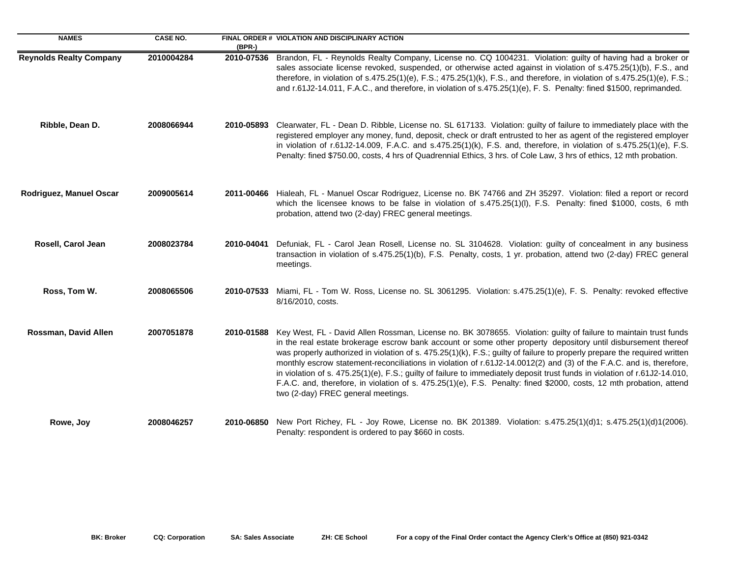| <b>NAMES</b>                   | <b>CASE NO.</b> | (BPR-)     | FINAL ORDER # VIOLATION AND DISCIPLINARY ACTION                                                                                                                                                                                                                                                                                                                                                                                                                                                                                                                                                                                                                                                                                                                                  |
|--------------------------------|-----------------|------------|----------------------------------------------------------------------------------------------------------------------------------------------------------------------------------------------------------------------------------------------------------------------------------------------------------------------------------------------------------------------------------------------------------------------------------------------------------------------------------------------------------------------------------------------------------------------------------------------------------------------------------------------------------------------------------------------------------------------------------------------------------------------------------|
| <b>Reynolds Realty Company</b> | 2010004284      | 2010-07536 | Brandon, FL - Reynolds Realty Company, License no. CQ 1004231. Violation: guilty of having had a broker or<br>sales associate license revoked, suspended, or otherwise acted against in violation of s.475.25(1)(b), F.S., and<br>therefore, in violation of s.475.25(1)(e), F.S.; 475.25(1)(k), F.S., and therefore, in violation of s.475.25(1)(e), F.S.;<br>and r.61J2-14.011, F.A.C., and therefore, in violation of s.475.25(1)(e), F. S. Penalty: fined \$1500, reprimanded.                                                                                                                                                                                                                                                                                               |
| Ribble, Dean D.                | 2008066944      |            | 2010-05893 Clearwater, FL - Dean D. Ribble, License no. SL 617133. Violation: guilty of failure to immediately place with the<br>registered employer any money, fund, deposit, check or draft entrusted to her as agent of the registered employer<br>in violation of r.61J2-14.009, F.A.C. and s.475.25(1)(k), F.S. and, therefore, in violation of s.475.25(1)(e), F.S.<br>Penalty: fined \$750.00, costs, 4 hrs of Quadrennial Ethics, 3 hrs. of Cole Law, 3 hrs of ethics, 12 mth probation.                                                                                                                                                                                                                                                                                 |
| Rodriguez, Manuel Oscar        | 2009005614      |            | 2011-00466 Hialeah, FL - Manuel Oscar Rodriguez, License no. BK 74766 and ZH 35297. Violation: filed a report or record<br>which the licensee knows to be false in violation of s.475.25(1)(I), F.S. Penalty: fined \$1000, costs, 6 mth<br>probation, attend two (2-day) FREC general meetings.                                                                                                                                                                                                                                                                                                                                                                                                                                                                                 |
| Rosell, Carol Jean             | 2008023784      | 2010-04041 | Defuniak, FL - Carol Jean Rosell, License no. SL 3104628. Violation: guilty of concealment in any business<br>transaction in violation of s.475.25(1)(b), F.S. Penalty, costs, 1 yr. probation, attend two (2-day) FREC general<br>meetings.                                                                                                                                                                                                                                                                                                                                                                                                                                                                                                                                     |
| Ross, Tom W.                   | 2008065506      |            | 2010-07533 Miami, FL - Tom W. Ross, License no. SL 3061295. Violation: s.475.25(1)(e), F. S. Penalty: revoked effective<br>8/16/2010, costs.                                                                                                                                                                                                                                                                                                                                                                                                                                                                                                                                                                                                                                     |
| Rossman, David Allen           | 2007051878      | 2010-01588 | Key West, FL - David Allen Rossman, License no. BK 3078655. Violation: guilty of failure to maintain trust funds<br>in the real estate brokerage escrow bank account or some other property depository until disbursement thereof<br>was properly authorized in violation of s. 475.25(1)(k), F.S.; guilty of failure to properly prepare the required written<br>monthly escrow statement-reconciliations in violation of r.61J2-14.0012(2) and (3) of the F.A.C. and is, therefore,<br>in violation of s. 475.25(1)(e), F.S.; guilty of failure to immediately deposit trust funds in violation of r.61J2-14.010,<br>F.A.C. and, therefore, in violation of s. 475.25(1)(e), F.S. Penalty: fined \$2000, costs, 12 mth probation, attend<br>two (2-day) FREC general meetings. |
| Rowe, Joy                      | 2008046257      |            | 2010-06850 New Port Richey, FL - Joy Rowe, License no. BK 201389. Violation: s.475.25(1)(d)1; s.475.25(1)(d)1(2006).<br>Penalty: respondent is ordered to pay \$660 in costs.                                                                                                                                                                                                                                                                                                                                                                                                                                                                                                                                                                                                    |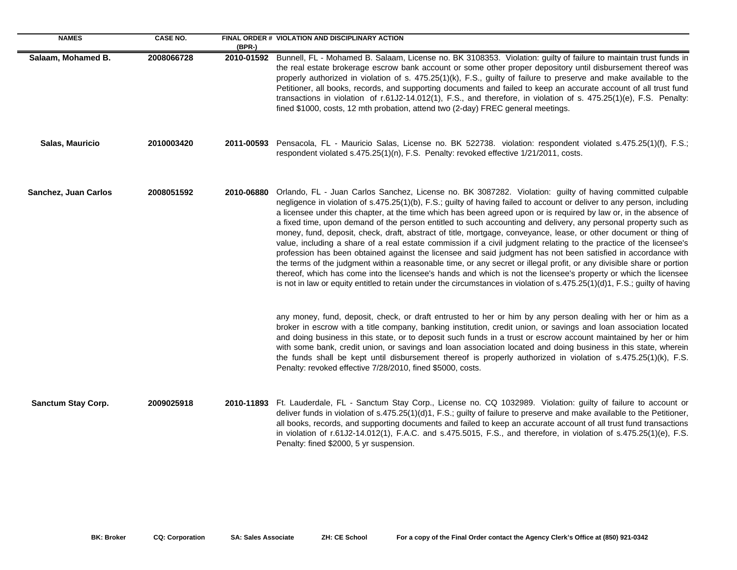| <b>NAMES</b>         | <b>CASE NO.</b> | $(BPR-)$   | FINAL ORDER # VIOLATION AND DISCIPLINARY ACTION                                                                                                                                                                                                                                                                                                                                                                                                                                                                                                                                                                                                                                                                                                                                                                                                                                                                                                                                                                                                                                                                                                                                                                       |
|----------------------|-----------------|------------|-----------------------------------------------------------------------------------------------------------------------------------------------------------------------------------------------------------------------------------------------------------------------------------------------------------------------------------------------------------------------------------------------------------------------------------------------------------------------------------------------------------------------------------------------------------------------------------------------------------------------------------------------------------------------------------------------------------------------------------------------------------------------------------------------------------------------------------------------------------------------------------------------------------------------------------------------------------------------------------------------------------------------------------------------------------------------------------------------------------------------------------------------------------------------------------------------------------------------|
| Salaam, Mohamed B.   | 2008066728      | 2010-01592 | Bunnell, FL - Mohamed B. Salaam, License no. BK 3108353. Violation: guilty of failure to maintain trust funds in<br>the real estate brokerage escrow bank account or some other proper depository until disbursement thereof was<br>properly authorized in violation of s. 475.25(1)(k), F.S., guilty of failure to preserve and make available to the<br>Petitioner, all books, records, and supporting documents and failed to keep an accurate account of all trust fund<br>transactions in violation of r.61J2-14.012(1), F.S., and therefore, in violation of s. 475.25(1)(e), F.S. Penalty:<br>fined \$1000, costs, 12 mth probation, attend two (2-day) FREC general meetings.                                                                                                                                                                                                                                                                                                                                                                                                                                                                                                                                 |
| Salas, Mauricio      | 2010003420      |            | 2011-00593 Pensacola, FL - Mauricio Salas, License no. BK 522738. violation: respondent violated s.475.25(1)(f), F.S.;<br>respondent violated s.475.25(1)(n), F.S. Penalty: revoked effective 1/21/2011, costs.                                                                                                                                                                                                                                                                                                                                                                                                                                                                                                                                                                                                                                                                                                                                                                                                                                                                                                                                                                                                       |
| Sanchez, Juan Carlos | 2008051592      | 2010-06880 | Orlando, FL - Juan Carlos Sanchez, License no. BK 3087282. Violation: guilty of having committed culpable<br>negligence in violation of s.475.25(1)(b), F.S.; guilty of having failed to account or deliver to any person, including<br>a licensee under this chapter, at the time which has been agreed upon or is required by law or, in the absence of<br>a fixed time, upon demand of the person entitled to such accounting and delivery, any personal property such as<br>money, fund, deposit, check, draft, abstract of title, mortgage, conveyance, lease, or other document or thing of<br>value, including a share of a real estate commission if a civil judgment relating to the practice of the licensee's<br>profession has been obtained against the licensee and said judgment has not been satisfied in accordance with<br>the terms of the judgment within a reasonable time, or any secret or illegal profit, or any divisible share or portion<br>thereof, which has come into the licensee's hands and which is not the licensee's property or which the licensee<br>is not in law or equity entitled to retain under the circumstances in violation of s.475.25(1)(d)1, F.S.; guilty of having |
|                      |                 |            | any money, fund, deposit, check, or draft entrusted to her or him by any person dealing with her or him as a<br>broker in escrow with a title company, banking institution, credit union, or savings and loan association located<br>and doing business in this state, or to deposit such funds in a trust or escrow account maintained by her or him<br>with some bank, credit union, or savings and loan association located and doing business in this state, wherein<br>the funds shall be kept until disbursement thereof is properly authorized in violation of s.475.25(1)(k), F.S.<br>Penalty: revoked effective 7/28/2010, fined \$5000, costs.                                                                                                                                                                                                                                                                                                                                                                                                                                                                                                                                                              |
| Sanctum Stay Corp.   | 2009025918      |            | 2010-11893 Ft. Lauderdale, FL - Sanctum Stay Corp., License no. CQ 1032989. Violation: guilty of failure to account or<br>deliver funds in violation of s.475.25(1)(d)1, F.S.; guilty of failure to preserve and make available to the Petitioner,<br>all books, records, and supporting documents and failed to keep an accurate account of all trust fund transactions<br>in violation of r.61J2-14.012(1), F.A.C. and s.475.5015, F.S., and therefore, in violation of s.475.25(1)(e), F.S.<br>Penalty: fined \$2000, 5 yr suspension.                                                                                                                                                                                                                                                                                                                                                                                                                                                                                                                                                                                                                                                                             |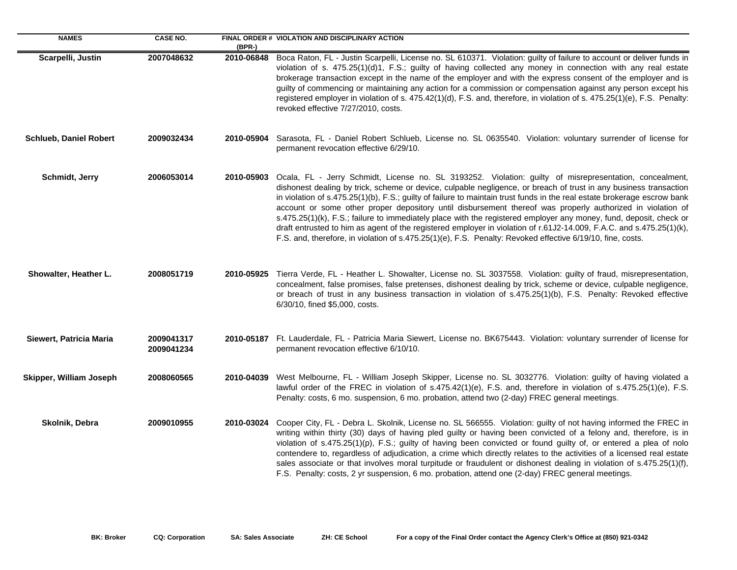| <b>NAMES</b>                  | <b>CASE NO.</b>          | $(BPR-)$   | FINAL ORDER # VIOLATION AND DISCIPLINARY ACTION                                                                                                                                                                                                                                                                                                                                                                                                                                                                                                                                                                                                                                                                                                                                                                                    |
|-------------------------------|--------------------------|------------|------------------------------------------------------------------------------------------------------------------------------------------------------------------------------------------------------------------------------------------------------------------------------------------------------------------------------------------------------------------------------------------------------------------------------------------------------------------------------------------------------------------------------------------------------------------------------------------------------------------------------------------------------------------------------------------------------------------------------------------------------------------------------------------------------------------------------------|
| Scarpelli, Justin             | 2007048632               | 2010-06848 | Boca Raton, FL - Justin Scarpelli, License no. SL 610371. Violation: guilty of failure to account or deliver funds in<br>violation of s. 475.25(1)(d)1, F.S.; guilty of having collected any money in connection with any real estate<br>brokerage transaction except in the name of the employer and with the express consent of the employer and is<br>guilty of commencing or maintaining any action for a commission or compensation against any person except his<br>registered employer in violation of s. 475.42(1)(d), F.S. and, therefore, in violation of s. 475.25(1)(e), F.S. Penalty:<br>revoked effective 7/27/2010, costs.                                                                                                                                                                                          |
| <b>Schlueb, Daniel Robert</b> | 2009032434               | 2010-05904 | Sarasota, FL - Daniel Robert Schlueb, License no. SL 0635540. Violation: voluntary surrender of license for<br>permanent revocation effective 6/29/10.                                                                                                                                                                                                                                                                                                                                                                                                                                                                                                                                                                                                                                                                             |
| Schmidt, Jerry                | 2006053014               | 2010-05903 | Ocala, FL - Jerry Schmidt, License no. SL 3193252. Violation: guilty of misrepresentation, concealment,<br>dishonest dealing by trick, scheme or device, culpable negligence, or breach of trust in any business transaction<br>in violation of s.475.25(1)(b), F.S.; guilty of failure to maintain trust funds in the real estate brokerage escrow bank<br>account or some other proper depository until disbursement thereof was properly authorized in violation of<br>s.475.25(1)(k), F.S.; failure to immediately place with the registered employer any money, fund, deposit, check or<br>draft entrusted to him as agent of the registered employer in violation of r.61J2-14.009, F.A.C. and s.475.25(1)(k),<br>F.S. and, therefore, in violation of s.475.25(1)(e), F.S. Penalty: Revoked effective 6/19/10, fine, costs. |
| Showalter, Heather L.         | 2008051719               |            | 2010-05925 Tierra Verde, FL - Heather L. Showalter, License no. SL 3037558. Violation: guilty of fraud, misrepresentation,<br>concealment, false promises, false pretenses, dishonest dealing by trick, scheme or device, culpable negligence,<br>or breach of trust in any business transaction in violation of s.475.25(1)(b), F.S. Penalty: Revoked effective<br>6/30/10, fined \$5,000, costs.                                                                                                                                                                                                                                                                                                                                                                                                                                 |
| Siewert, Patricia Maria       | 2009041317<br>2009041234 |            | 2010-05187 Ft. Lauderdale, FL - Patricia Maria Siewert, License no. BK675443. Violation: voluntary surrender of license for<br>permanent revocation effective 6/10/10.                                                                                                                                                                                                                                                                                                                                                                                                                                                                                                                                                                                                                                                             |
| Skipper, William Joseph       | 2008060565               | 2010-04039 | West Melbourne, FL - William Joseph Skipper, License no. SL 3032776. Violation: guilty of having violated a<br>lawful order of the FREC in violation of s.475.42(1)(e), F.S. and, therefore in violation of s.475.25(1)(e), F.S.<br>Penalty: costs, 6 mo. suspension, 6 mo. probation, attend two (2-day) FREC general meetings.                                                                                                                                                                                                                                                                                                                                                                                                                                                                                                   |
| Skolnik, Debra                | 2009010955               | 2010-03024 | Cooper City, FL - Debra L. Skolnik, License no. SL 566555. Violation: guilty of not having informed the FREC in<br>writing within thirty (30) days of having pled guilty or having been convicted of a felony and, therefore, is in<br>violation of s.475.25(1)(p), F.S.; guilty of having been convicted or found guilty of, or entered a plea of nolo<br>contendere to, regardless of adjudication, a crime which directly relates to the activities of a licensed real estate<br>sales associate or that involves moral turpitude or fraudulent or dishonest dealing in violation of s.475.25(1)(f),<br>F.S. Penalty: costs, 2 yr suspension, 6 mo. probation, attend one (2-day) FREC general meetings.                                                                                                                        |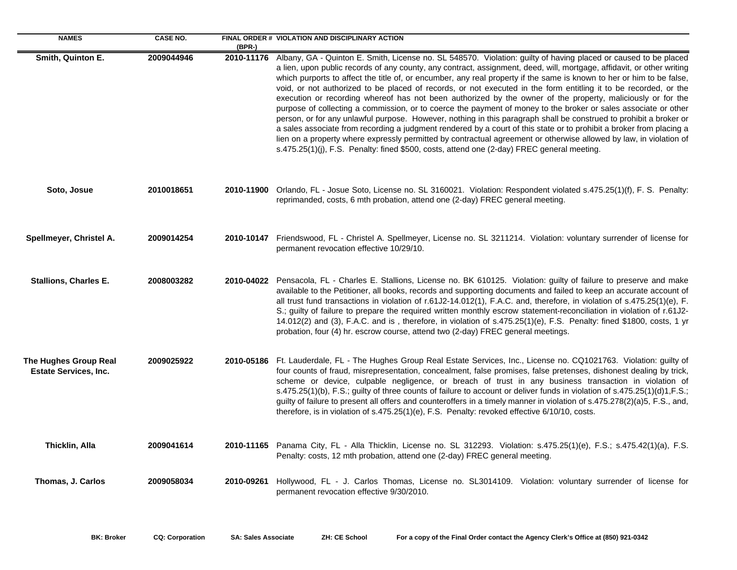| <b>NAMES</b>                                          | <b>CASE NO.</b> | (BPR-)     | FINAL ORDER # VIOLATION AND DISCIPLINARY ACTION                                                                                                                                                                                                                                                                                                                                                                                                                                                                                                                                                                                                                                                                                                                                                                                                                                                                                                                                                                                                                                                                                                                                                       |
|-------------------------------------------------------|-----------------|------------|-------------------------------------------------------------------------------------------------------------------------------------------------------------------------------------------------------------------------------------------------------------------------------------------------------------------------------------------------------------------------------------------------------------------------------------------------------------------------------------------------------------------------------------------------------------------------------------------------------------------------------------------------------------------------------------------------------------------------------------------------------------------------------------------------------------------------------------------------------------------------------------------------------------------------------------------------------------------------------------------------------------------------------------------------------------------------------------------------------------------------------------------------------------------------------------------------------|
| Smith, Quinton E.                                     | 2009044946      |            | 2010-11176 Albany, GA - Quinton E. Smith, License no. SL 548570. Violation: guilty of having placed or caused to be placed<br>a lien, upon public records of any county, any contract, assignment, deed, will, mortgage, affidavit, or other writing<br>which purports to affect the title of, or encumber, any real property if the same is known to her or him to be false,<br>void, or not authorized to be placed of records, or not executed in the form entitling it to be recorded, or the<br>execution or recording whereof has not been authorized by the owner of the property, maliciously or for the<br>purpose of collecting a commission, or to coerce the payment of money to the broker or sales associate or other<br>person, or for any unlawful purpose. However, nothing in this paragraph shall be construed to prohibit a broker or<br>a sales associate from recording a judgment rendered by a court of this state or to prohibit a broker from placing a<br>lien on a property where expressly permitted by contractual agreement or otherwise allowed by law, in violation of<br>s.475.25(1)(j), F.S. Penalty: fined \$500, costs, attend one (2-day) FREC general meeting. |
| Soto, Josue                                           | 2010018651      |            | 2010-11900 Orlando, FL - Josue Soto, License no. SL 3160021. Violation: Respondent violated s.475.25(1)(f), F. S. Penalty:<br>reprimanded, costs, 6 mth probation, attend one (2-day) FREC general meeting.                                                                                                                                                                                                                                                                                                                                                                                                                                                                                                                                                                                                                                                                                                                                                                                                                                                                                                                                                                                           |
| Spellmeyer, Christel A.                               | 2009014254      |            | 2010-10147 Friendswood, FL - Christel A. Spellmeyer, License no. SL 3211214. Violation: voluntary surrender of license for<br>permanent revocation effective 10/29/10.                                                                                                                                                                                                                                                                                                                                                                                                                                                                                                                                                                                                                                                                                                                                                                                                                                                                                                                                                                                                                                |
| <b>Stallions, Charles E.</b>                          | 2008003282      | 2010-04022 | Pensacola, FL - Charles E. Stallions, License no. BK 610125. Violation: guilty of failure to preserve and make<br>available to the Petitioner, all books, records and supporting documents and failed to keep an accurate account of<br>all trust fund transactions in violation of r.61J2-14.012(1), F.A.C. and, therefore, in violation of s.475.25(1)(e), F.<br>S.; guilty of failure to prepare the required written monthly escrow statement-reconciliation in violation of r.61J2-<br>14.012(2) and (3), F.A.C. and is, therefore, in violation of s.475.25(1)(e), F.S. Penalty: fined \$1800, costs, 1 yr<br>probation, four (4) hr. escrow course, attend two (2-day) FREC general meetings.                                                                                                                                                                                                                                                                                                                                                                                                                                                                                                  |
| The Hughes Group Real<br><b>Estate Services, Inc.</b> | 2009025922      | 2010-05186 | Ft. Lauderdale, FL - The Hughes Group Real Estate Services, Inc., License no. CQ1021763. Violation: guilty of<br>four counts of fraud, misrepresentation, concealment, false promises, false pretenses, dishonest dealing by trick,<br>scheme or device, culpable negligence, or breach of trust in any business transaction in violation of<br>s.475.25(1)(b), F.S.; guilty of three counts of failure to account or deliver funds in violation of s.475.25(1)(d)1, F.S.;<br>guilty of failure to present all offers and counteroffers in a timely manner in violation of s.475.278(2)(a)5, F.S., and,<br>therefore, is in violation of s.475.25(1)(e), F.S. Penalty: revoked effective 6/10/10, costs.                                                                                                                                                                                                                                                                                                                                                                                                                                                                                              |
| Thicklin, Alla                                        | 2009041614      |            | 2010-11165 Panama City, FL - Alla Thicklin, License no. SL 312293. Violation: s.475.25(1)(e), F.S.; s.475.42(1)(a), F.S.<br>Penalty: costs, 12 mth probation, attend one (2-day) FREC general meeting.                                                                                                                                                                                                                                                                                                                                                                                                                                                                                                                                                                                                                                                                                                                                                                                                                                                                                                                                                                                                |
| Thomas, J. Carlos                                     | 2009058034      | 2010-09261 | Hollywood, FL - J. Carlos Thomas, License no. SL3014109. Violation: voluntary surrender of license for<br>permanent revocation effective 9/30/2010.                                                                                                                                                                                                                                                                                                                                                                                                                                                                                                                                                                                                                                                                                                                                                                                                                                                                                                                                                                                                                                                   |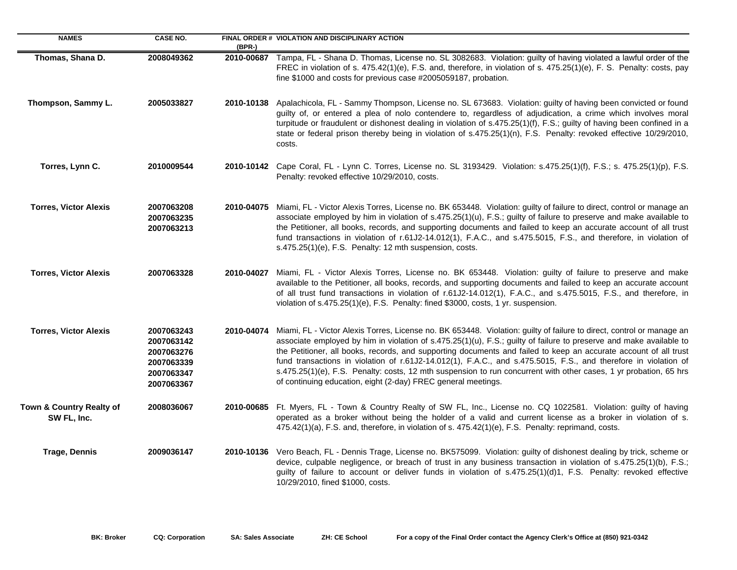| <b>NAMES</b>                            | <b>CASE NO.</b>                                                                  | $(BPR-)$   | FINAL ORDER # VIOLATION AND DISCIPLINARY ACTION                                                                                                                                                                                                                                                                                                                                                                                                                                                                                                                                                                                                                           |
|-----------------------------------------|----------------------------------------------------------------------------------|------------|---------------------------------------------------------------------------------------------------------------------------------------------------------------------------------------------------------------------------------------------------------------------------------------------------------------------------------------------------------------------------------------------------------------------------------------------------------------------------------------------------------------------------------------------------------------------------------------------------------------------------------------------------------------------------|
| Thomas, Shana D.                        | 2008049362                                                                       |            | 2010-00687 Tampa, FL - Shana D. Thomas, License no. SL 3082683. Violation: guilty of having violated a lawful order of the<br>FREC in violation of s. 475.42(1)(e), F.S. and, therefore, in violation of s. 475.25(1)(e), F. S. Penalty: costs, pay<br>fine \$1000 and costs for previous case #2005059187, probation.                                                                                                                                                                                                                                                                                                                                                    |
| Thompson, Sammy L.                      | 2005033827                                                                       | 2010-10138 | Apalachicola, FL - Sammy Thompson, License no. SL 673683. Violation: guilty of having been convicted or found<br>guilty of, or entered a plea of nolo contendere to, regardless of adjudication, a crime which involves moral<br>turpitude or fraudulent or dishonest dealing in violation of s.475.25(1)(f), F.S.; guilty of having been confined in a<br>state or federal prison thereby being in violation of s.475.25(1)(n), F.S. Penalty: revoked effective 10/29/2010,<br>costs.                                                                                                                                                                                    |
| Torres, Lynn C.                         | 2010009544                                                                       |            | 2010-10142 Cape Coral, FL - Lynn C. Torres, License no. SL 3193429. Violation: s.475.25(1)(f), F.S.; s. 475.25(1)(p), F.S.<br>Penalty: revoked effective 10/29/2010, costs.                                                                                                                                                                                                                                                                                                                                                                                                                                                                                               |
| <b>Torres, Victor Alexis</b>            | 2007063208<br>2007063235<br>2007063213                                           | 2010-04075 | Miami, FL - Victor Alexis Torres, License no. BK 653448. Violation: guilty of failure to direct, control or manage an<br>associate employed by him in violation of s.475.25(1)(u), F.S.; guilty of failure to preserve and make available to<br>the Petitioner, all books, records, and supporting documents and failed to keep an accurate account of all trust<br>fund transactions in violation of r.61J2-14.012(1), F.A.C., and s.475.5015, F.S., and therefore, in violation of<br>s.475.25(1)(e), F.S. Penalty: 12 mth suspension, costs.                                                                                                                           |
| <b>Torres, Victor Alexis</b>            | 2007063328                                                                       | 2010-04027 | Miami, FL - Victor Alexis Torres, License no. BK 653448. Violation: guilty of failure to preserve and make<br>available to the Petitioner, all books, records, and supporting documents and failed to keep an accurate account<br>of all trust fund transactions in violation of r.61J2-14.012(1), F.A.C., and s.475.5015, F.S., and therefore, in<br>violation of s.475.25(1)(e), F.S. Penalty: fined \$3000, costs, 1 yr. suspension.                                                                                                                                                                                                                                   |
| <b>Torres, Victor Alexis</b>            | 2007063243<br>2007063142<br>2007063276<br>2007063339<br>2007063347<br>2007063367 | 2010-04074 | Miami, FL - Victor Alexis Torres, License no. BK 653448. Violation: guilty of failure to direct, control or manage an<br>associate employed by him in violation of s.475.25(1)(u), F.S.; guilty of failure to preserve and make available to<br>the Petitioner, all books, records, and supporting documents and failed to keep an accurate account of all trust<br>fund transactions in violation of r.61J2-14.012(1), F.A.C., and s.475.5015, F.S., and therefore in violation of<br>s.475.25(1)(e), F.S. Penalty: costs, 12 mth suspension to run concurrent with other cases, 1 yr probation, 65 hrs<br>of continuing education, eight (2-day) FREC general meetings. |
| Town & Country Realty of<br>SW FL, Inc. | 2008036067                                                                       |            | 2010-00685 Ft. Myers, FL - Town & Country Realty of SW FL, Inc., License no. CQ 1022581. Violation: guilty of having<br>operated as a broker without being the holder of a valid and current license as a broker in violation of s.<br>475.42(1)(a), F.S. and, therefore, in violation of s. 475.42(1)(e), F.S. Penalty: reprimand, costs.                                                                                                                                                                                                                                                                                                                                |
| <b>Trage, Dennis</b>                    | 2009036147                                                                       | 2010-10136 | Vero Beach, FL - Dennis Trage, License no. BK575099. Violation: guilty of dishonest dealing by trick, scheme or<br>device, culpable negligence, or breach of trust in any business transaction in violation of s.475.25(1)(b), F.S.;<br>guilty of failure to account or deliver funds in violation of s.475.25(1)(d)1, F.S. Penalty: revoked effective<br>10/29/2010, fined \$1000, costs.                                                                                                                                                                                                                                                                                |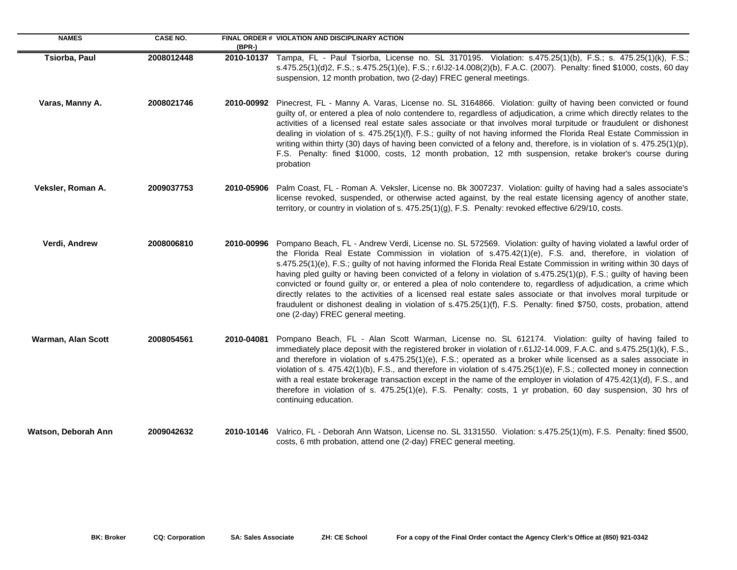| <b>NAMES</b>        | <b>CASE NO.</b> | $(BPR-)$   | FINAL ORDER # VIOLATION AND DISCIPLINARY ACTION                                                                                                                                                                                                                                                                                                                                                                                                                                                                                                                                                                                                                                                                                                                                                                                                                                         |
|---------------------|-----------------|------------|-----------------------------------------------------------------------------------------------------------------------------------------------------------------------------------------------------------------------------------------------------------------------------------------------------------------------------------------------------------------------------------------------------------------------------------------------------------------------------------------------------------------------------------------------------------------------------------------------------------------------------------------------------------------------------------------------------------------------------------------------------------------------------------------------------------------------------------------------------------------------------------------|
| Tsiorba, Paul       | 2008012448      |            | 2010-10137 Tampa, FL - Paul Tsiorba, License no. SL 3170195. Violation: s.475.25(1)(b), F.S.; s. 475.25(1)(k), F.S.;<br>s.475.25(1)(d)2, F.S.; s.475.25(1)(e), F.S.; r.6!J2-14.008(2)(b), F.A.C. (2007). Penalty: fined \$1000, costs, 60 day<br>suspension, 12 month probation, two (2-day) FREC general meetings.                                                                                                                                                                                                                                                                                                                                                                                                                                                                                                                                                                     |
| Varas, Manny A.     | 2008021746      |            | 2010-00992 Pinecrest, FL - Manny A. Varas, License no. SL 3164866. Violation: guilty of having been convicted or found<br>guilty of, or entered a plea of nolo contendere to, regardless of adjudication, a crime which directly relates to the<br>activities of a licensed real estate sales associate or that involves moral turpitude or fraudulent or dishonest<br>dealing in violation of s. 475.25(1)(f), F.S.; guilty of not having informed the Florida Real Estate Commission in<br>writing within thirty (30) days of having been convicted of a felony and, therefore, is in violation of s. 475.25(1)(p),<br>F.S. Penalty: fined \$1000, costs, 12 month probation, 12 mth suspension, retake broker's course during<br>probation                                                                                                                                           |
| Veksler, Roman A.   | 2009037753      | 2010-05906 | Palm Coast, FL - Roman A. Veksler, License no. Bk 3007237. Violation: guilty of having had a sales associate's<br>license revoked, suspended, or otherwise acted against, by the real estate licensing agency of another state,<br>territory, or country in violation of s. 475.25(1)(g), F.S. Penalty: revoked effective 6/29/10, costs.                                                                                                                                                                                                                                                                                                                                                                                                                                                                                                                                               |
| Verdi, Andrew       | 2008006810      |            | 2010-00996 Pompano Beach, FL - Andrew Verdi, License no. SL 572569. Violation: guilty of having violated a lawful order of<br>the Florida Real Estate Commission in violation of s.475.42(1)(e), F.S. and, therefore, in violation of<br>s.475.25(1)(e), F.S.; guilty of not having informed the Florida Real Estate Commission in writing within 30 days of<br>having pled guilty or having been convicted of a felony in violation of s.475.25(1)(p), F.S.; guilty of having been<br>convicted or found guilty or, or entered a plea of nolo contendere to, regardless of adjudication, a crime which<br>directly relates to the activities of a licensed real estate sales associate or that involves moral turpitude or<br>fraudulent or dishonest dealing in violation of s.475.25(1)(f), F.S. Penalty: fined \$750, costs, probation, attend<br>one (2-day) FREC general meeting. |
| Warman, Alan Scott  | 2008054561      | 2010-04081 | Pompano Beach, FL - Alan Scott Warman, License no. SL 612174. Violation: guilty of having failed to<br>immediately place deposit with the registered broker in violation of r.61J2-14.009, F.A.C. and s.475.25(1)(k), F.S.,<br>and therefore in violation of s.475.25(1)(e), F.S.; operated as a broker while licensed as a sales associate in<br>violation of s. 475.42(1)(b), F.S., and therefore in violation of s.475.25(1)(e), F.S.; collected money in connection<br>with a real estate brokerage transaction except in the name of the employer in violation of 475.42(1)(d), F.S., and<br>therefore in violation of s. 475.25(1)(e), F.S. Penalty: costs, 1 yr probation, 60 day suspension, 30 hrs of<br>continuing education.                                                                                                                                                 |
| Watson, Deborah Ann | 2009042632      |            | 2010-10146 Valrico, FL - Deborah Ann Watson, License no. SL 3131550. Violation: s.475.25(1)(m), F.S. Penalty: fined \$500,<br>costs, 6 mth probation, attend one (2-day) FREC general meeting.                                                                                                                                                                                                                                                                                                                                                                                                                                                                                                                                                                                                                                                                                          |